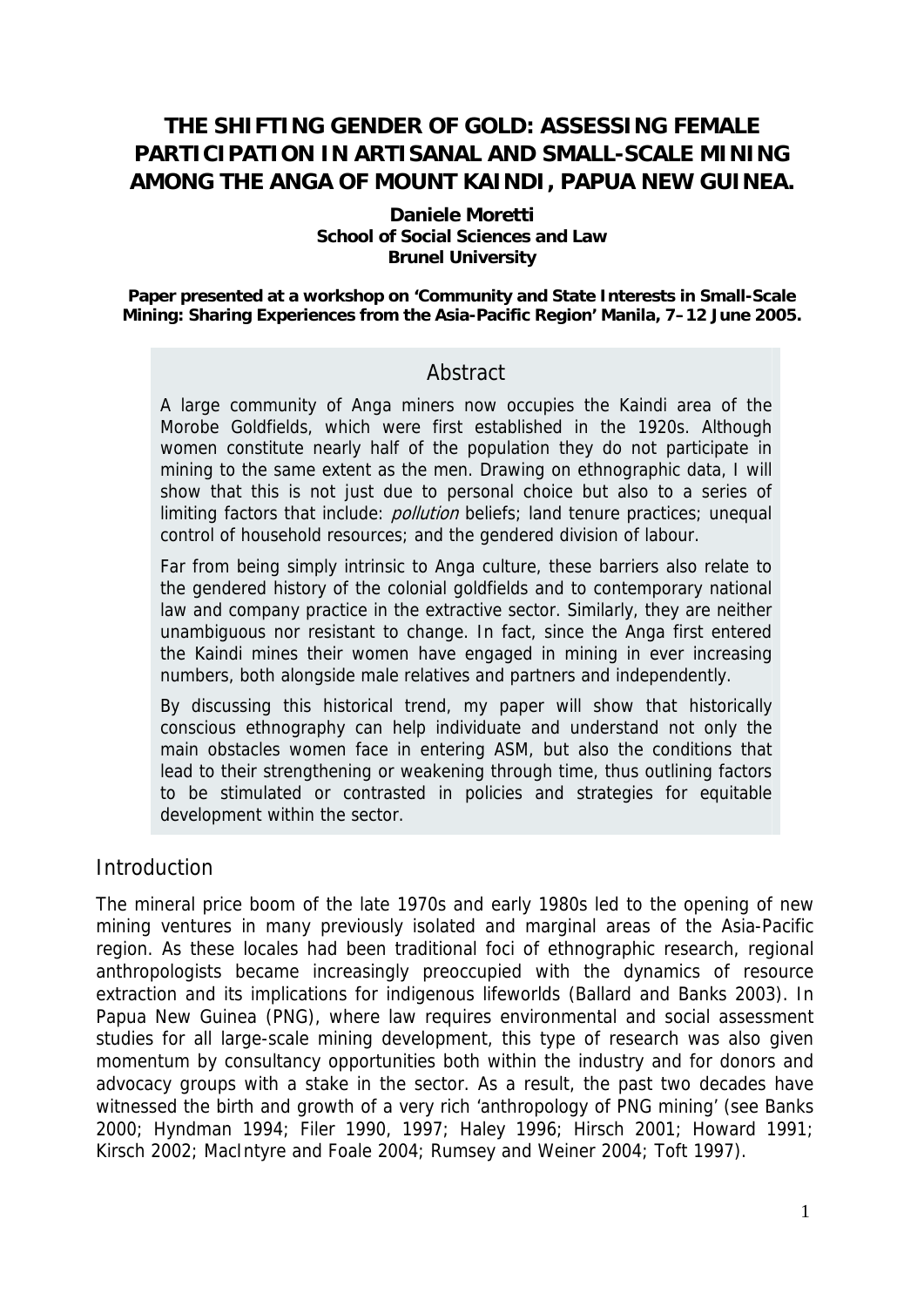# **THE SHIFTING GENDER OF GOLD: ASSESSING FEMALE PARTICIPATION IN ARTISANAL AND SMALL-SCALE MINING AMONG THE ANGA OF MOUNT KAINDI, PAPUA NEW GUINEA.**

#### **Daniele Moretti School of Social Sciences and Law Brunel University**

**Paper presented at a workshop on 'Community and State Interests in Small-Scale Mining: Sharing Experiences from the Asia-Pacific Region' Manila, 7–12 June 2005.** 

# Abstract

A large community of Anga miners now occupies the Kaindi area of the Morobe Goldfields, which were first established in the 1920s. Although women constitute nearly half of the population they do not participate in mining to the same extent as the men. Drawing on ethnographic data, I will show that this is not just due to personal choice but also to a series of limiting factors that include: *pollution* beliefs; land tenure practices; unequal control of household resources; and the gendered division of labour.

Far from being simply intrinsic to Anga culture, these barriers also relate to the gendered history of the colonial goldfields and to contemporary national law and company practice in the extractive sector. Similarly, they are neither unambiguous nor resistant to change. In fact, since the Anga first entered the Kaindi mines their women have engaged in mining in ever increasing numbers, both alongside male relatives and partners and independently.

By discussing this historical trend, my paper will show that historically conscious ethnography can help individuate and understand not only the main obstacles women face in entering ASM, but also the conditions that lead to their strengthening or weakening through time, thus outlining factors to be stimulated or contrasted in policies and strategies for equitable development within the sector.

## Introduction

The mineral price boom of the late 1970s and early 1980s led to the opening of new mining ventures in many previously isolated and marginal areas of the Asia-Pacific region. As these locales had been traditional foci of ethnographic research, regional anthropologists became increasingly preoccupied with the dynamics of resource extraction and its implications for indigenous lifeworlds (Ballard and Banks 2003). In Papua New Guinea (PNG), where law requires environmental and social assessment studies for all large-scale mining development, this type of research was also given momentum by consultancy opportunities both within the industry and for donors and advocacy groups with a stake in the sector. As a result, the past two decades have witnessed the birth and growth of a very rich 'anthropology of PNG mining' (see Banks 2000; Hyndman 1994; Filer 1990, 1997; Haley 1996; Hirsch 2001; Howard 1991; Kirsch 2002; MacIntyre and Foale 2004; Rumsey and Weiner 2004; Toft 1997).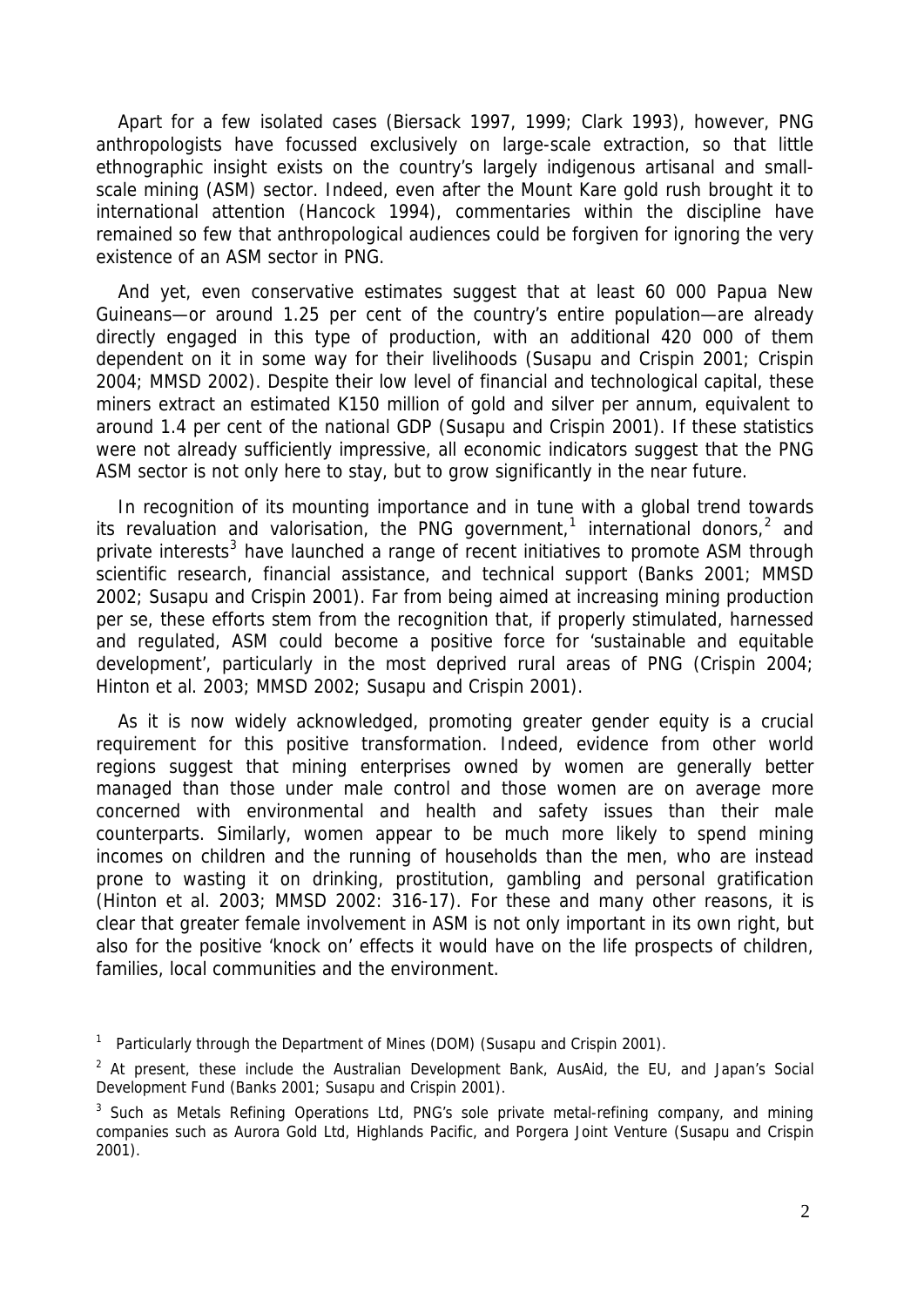Apart for a few isolated cases (Biersack 1997, 1999; Clark 1993), however, PNG anthropologists have focussed exclusively on large-scale extraction, so that little ethnographic insight exists on the country's largely indigenous artisanal and smallscale mining (ASM) sector. Indeed, even after the Mount Kare gold rush brought it to international attention (Hancock 1994), commentaries within the discipline have remained so few that anthropological audiences could be forgiven for ignoring the very existence of an ASM sector in PNG.

And yet, even conservative estimates suggest that at least 60 000 Papua New Guineans—or around 1.25 per cent of the country's entire population—are already directly engaged in this type of production, with an additional 420 000 of them dependent on it in some way for their livelihoods (Susapu and Crispin 2001; Crispin 2004; MMSD 2002). Despite their low level of financial and technological capital, these miners extract an estimated K150 million of gold and silver per annum, equivalent to around 1.4 per cent of the national GDP (Susapu and Crispin 2001). If these statistics were not already sufficiently impressive, all economic indicators suggest that the PNG ASM sector is not only here to stay, but to grow significantly in the near future.

In recognition of its mounting importance and in tune with a global trend towards its revaluation and valorisation, the PNG government,<sup>[1](#page-1-0)</sup> international donors,<sup>[2](#page-1-1)</sup> and private interests<sup>[3](#page-1-2)</sup> have launched a range of recent initiatives to promote ASM through scientific research, financial assistance, and technical support (Banks 2001; MMSD 2002; Susapu and Crispin 2001). Far from being aimed at increasing mining production per se, these efforts stem from the recognition that, if properly stimulated, harnessed and regulated, ASM could become a positive force for 'sustainable and equitable development', particularly in the most deprived rural areas of PNG (Crispin 2004; Hinton et al. 2003; MMSD 2002; Susapu and Crispin 2001).

As it is now widely acknowledged, promoting greater gender equity is a crucial requirement for this positive transformation. Indeed, evidence from other world regions suggest that mining enterprises owned by women are generally better managed than those under male control and those women are on average more concerned with environmental and health and safety issues than their male counterparts. Similarly, women appear to be much more likely to spend mining incomes on children and the running of households than the men, who are instead prone to wasting it on drinking, prostitution, gambling and personal gratification (Hinton et al. 2003; MMSD 2002: 316-17). For these and many other reasons, it is clear that greater female involvement in ASM is not only important in its own right, but also for the positive 'knock on' effects it would have on the life prospects of children, families, local communities and the environment.

<span id="page-1-0"></span><sup>&</sup>lt;sup>1</sup> Particularly through the Department of Mines (DOM) (Susapu and Crispin 2001).

<span id="page-1-1"></span> $2$  At present, these include the Australian Development Bank, AusAid, the EU, and Japan's Social Development Fund (Banks 2001; Susapu and Crispin 2001).

<span id="page-1-2"></span><sup>&</sup>lt;sup>3</sup> Such as Metals Refining Operations Ltd, PNG's sole private metal-refining company, and mining companies such as Aurora Gold Ltd, Highlands Pacific, and Porgera Joint Venture (Susapu and Crispin 2001).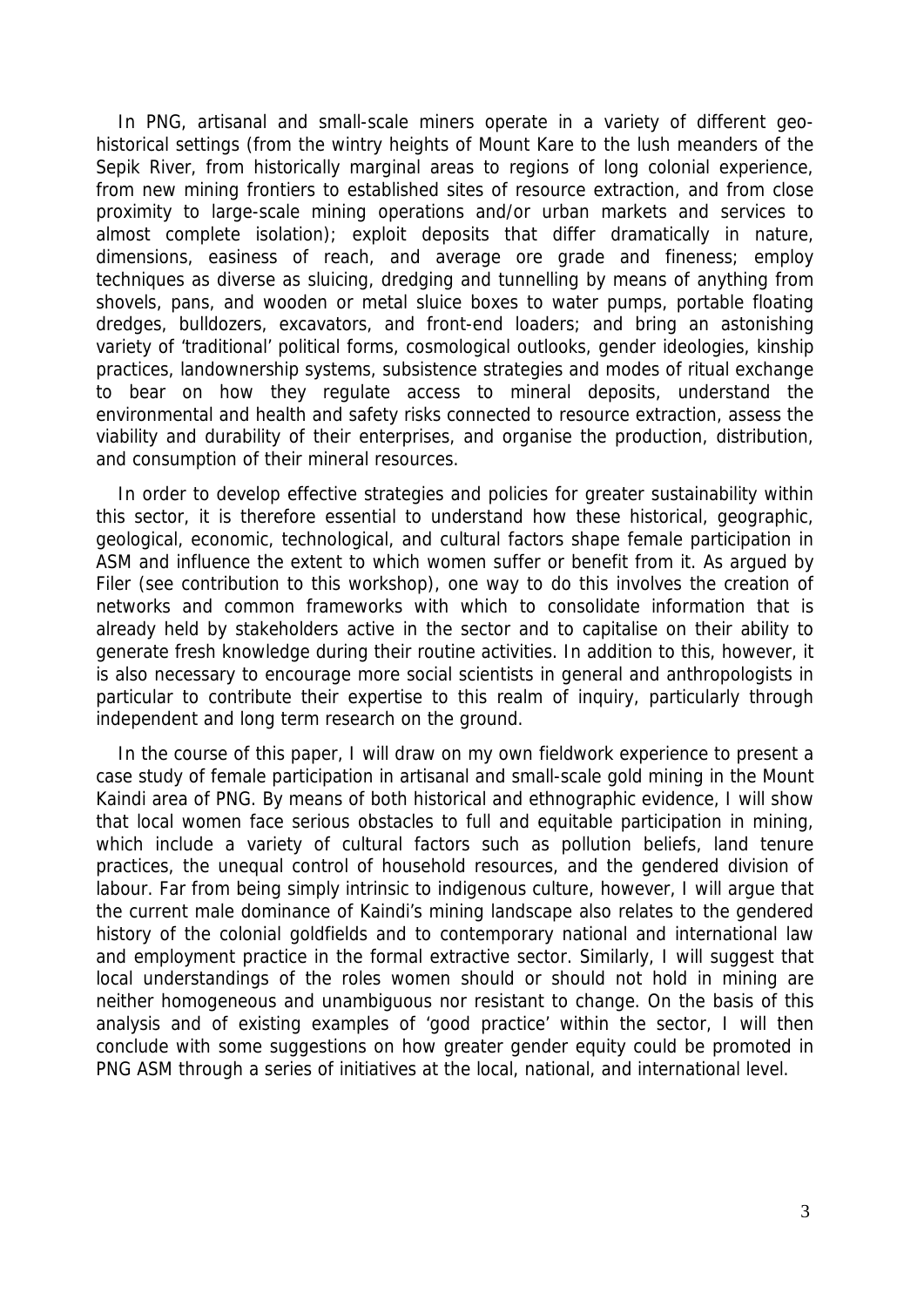In PNG, artisanal and small-scale miners operate in a variety of different geohistorical settings (from the wintry heights of Mount Kare to the lush meanders of the Sepik River, from historically marginal areas to regions of long colonial experience, from new mining frontiers to established sites of resource extraction, and from close proximity to large-scale mining operations and/or urban markets and services to almost complete isolation); exploit deposits that differ dramatically in nature, dimensions, easiness of reach, and average ore grade and fineness; employ techniques as diverse as sluicing, dredging and tunnelling by means of anything from shovels, pans, and wooden or metal sluice boxes to water pumps, portable floating dredges, bulldozers, excavators, and front-end loaders; and bring an astonishing variety of 'traditional' political forms, cosmological outlooks, gender ideologies, kinship practices, landownership systems, subsistence strategies and modes of ritual exchange to bear on how they regulate access to mineral deposits, understand the environmental and health and safety risks connected to resource extraction, assess the viability and durability of their enterprises, and organise the production, distribution, and consumption of their mineral resources.

In order to develop effective strategies and policies for greater sustainability within this sector, it is therefore essential to understand how these historical, geographic, geological, economic, technological, and cultural factors shape female participation in ASM and influence the extent to which women suffer or benefit from it. As argued by Filer (see contribution to this workshop), one way to do this involves the creation of networks and common frameworks with which to consolidate information that is already held by stakeholders active in the sector and to capitalise on their ability to generate fresh knowledge during their routine activities. In addition to this, however, it is also necessary to encourage more social scientists in general and anthropologists in particular to contribute their expertise to this realm of inquiry, particularly through independent and long term research on the ground.

In the course of this paper, I will draw on my own fieldwork experience to present a case study of female participation in artisanal and small-scale gold mining in the Mount Kaindi area of PNG. By means of both historical and ethnographic evidence, I will show that local women face serious obstacles to full and equitable participation in mining, which include a variety of cultural factors such as pollution beliefs, land tenure practices, the unequal control of household resources, and the gendered division of labour. Far from being simply intrinsic to indigenous culture, however, I will argue that the current male dominance of Kaindi's mining landscape also relates to the gendered history of the colonial goldfields and to contemporary national and international law and employment practice in the formal extractive sector. Similarly, I will suggest that local understandings of the roles women should or should not hold in mining are neither homogeneous and unambiguous nor resistant to change. On the basis of this analysis and of existing examples of 'good practice' within the sector, I will then conclude with some suggestions on how greater gender equity could be promoted in PNG ASM through a series of initiatives at the local, national, and international level.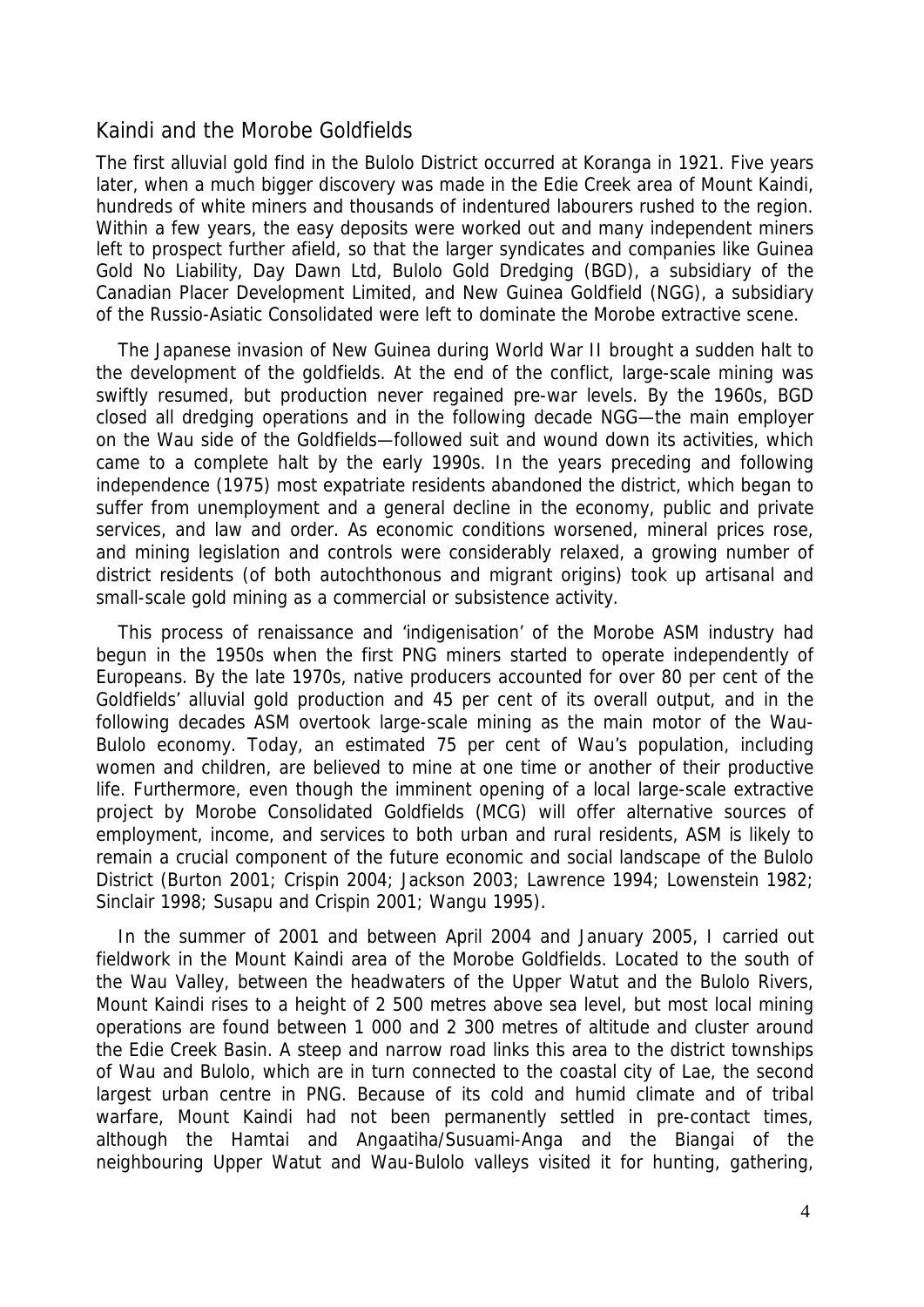### Kaindi and the Morobe Goldfields

The first alluvial gold find in the Bulolo District occurred at Koranga in 1921. Five years later, when a much bigger discovery was made in the Edie Creek area of Mount Kaindi, hundreds of white miners and thousands of indentured labourers rushed to the region. Within a few years, the easy deposits were worked out and many independent miners left to prospect further afield, so that the larger syndicates and companies like Guinea Gold No Liability, Day Dawn Ltd, Bulolo Gold Dredging (BGD), a subsidiary of the Canadian Placer Development Limited, and New Guinea Goldfield (NGG), a subsidiary of the Russio-Asiatic Consolidated were left to dominate the Morobe extractive scene.

The Japanese invasion of New Guinea during World War II brought a sudden halt to the development of the goldfields. At the end of the conflict, large-scale mining was swiftly resumed, but production never regained pre-war levels. By the 1960s, BGD closed all dredging operations and in the following decade NGG—the main employer on the Wau side of the Goldfields—followed suit and wound down its activities, which came to a complete halt by the early 1990s. In the years preceding and following independence (1975) most expatriate residents abandoned the district, which began to suffer from unemployment and a general decline in the economy, public and private services, and law and order. As economic conditions worsened, mineral prices rose, and mining legislation and controls were considerably relaxed, a growing number of district residents (of both autochthonous and migrant origins) took up artisanal and small-scale gold mining as a commercial or subsistence activity.

This process of renaissance and 'indigenisation' of the Morobe ASM industry had begun in the 1950s when the first PNG miners started to operate independently of Europeans. By the late 1970s, native producers accounted for over 80 per cent of the Goldfields' alluvial gold production and 45 per cent of its overall output, and in the following decades ASM overtook large-scale mining as the main motor of the Wau-Bulolo economy. Today, an estimated 75 per cent of Wau's population, including women and children, are believed to mine at one time or another of their productive life. Furthermore, even though the imminent opening of a local large-scale extractive project by Morobe Consolidated Goldfields (MCG) will offer alternative sources of employment, income, and services to both urban and rural residents, ASM is likely to remain a crucial component of the future economic and social landscape of the Bulolo District (Burton 2001; Crispin 2004; Jackson 2003; Lawrence 1994; Lowenstein 1982; Sinclair 1998; Susapu and Crispin 2001; Wangu 1995).

In the summer of 2001 and between April 2004 and January 2005, I carried out fieldwork in the Mount Kaindi area of the Morobe Goldfields. Located to the south of the Wau Valley, between the headwaters of the Upper Watut and the Bulolo Rivers, Mount Kaindi rises to a height of 2 500 metres above sea level, but most local mining operations are found between 1 000 and 2 300 metres of altitude and cluster around the Edie Creek Basin. A steep and narrow road links this area to the district townships of Wau and Bulolo, which are in turn connected to the coastal city of Lae, the second largest urban centre in PNG. Because of its cold and humid climate and of tribal warfare, Mount Kaindi had not been permanently settled in pre-contact times, although the Hamtai and Angaatiha/Susuami-Anga and the Biangai of the neighbouring Upper Watut and Wau-Bulolo valleys visited it for hunting, gathering,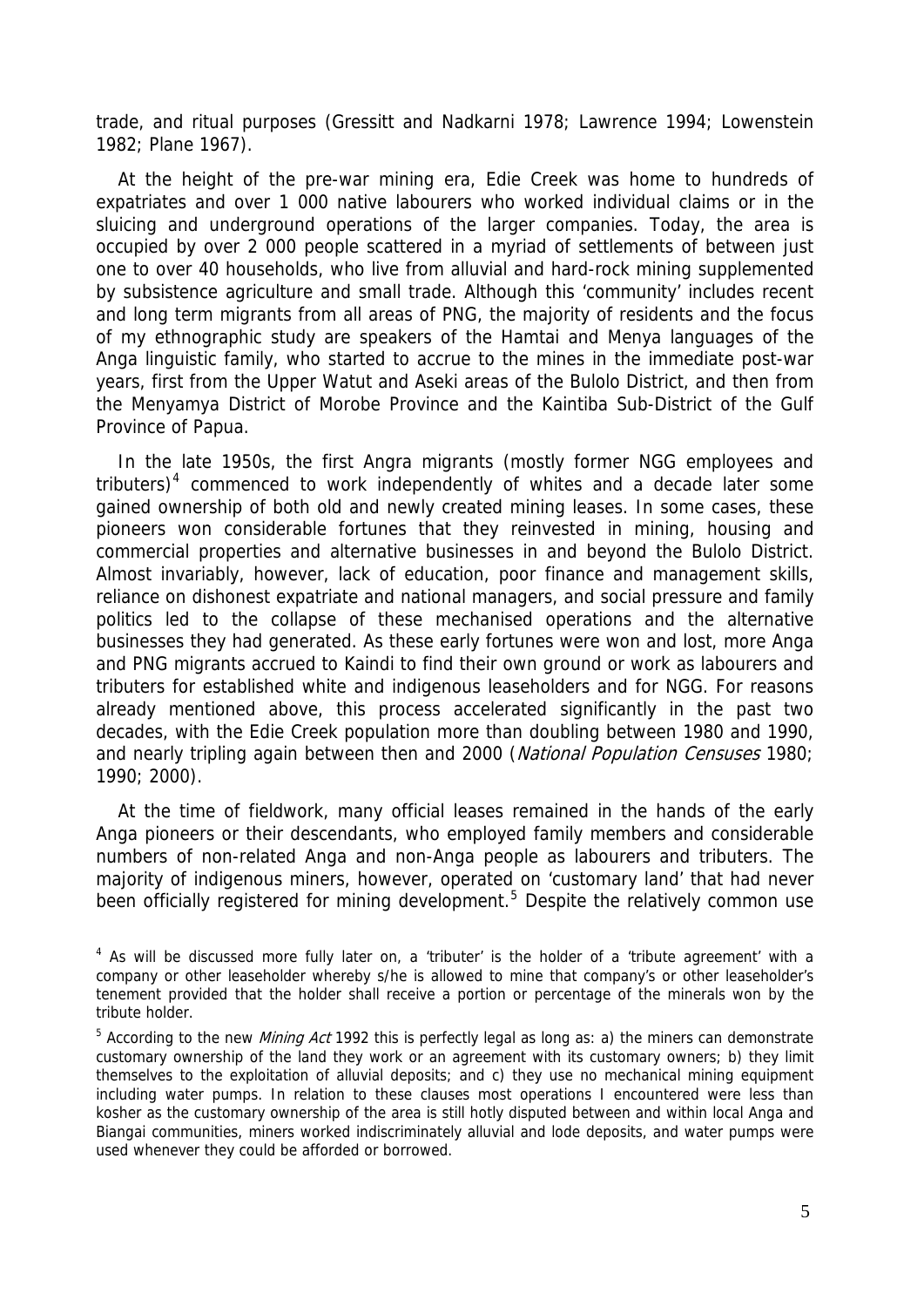trade, and ritual purposes (Gressitt and Nadkarni 1978; Lawrence 1994; Lowenstein 1982; Plane 1967).

At the height of the pre-war mining era, Edie Creek was home to hundreds of expatriates and over 1 000 native labourers who worked individual claims or in the sluicing and underground operations of the larger companies. Today, the area is occupied by over 2 000 people scattered in a myriad of settlements of between just one to over 40 households, who live from alluvial and hard-rock mining supplemented by subsistence agriculture and small trade. Although this 'community' includes recent and long term migrants from all areas of PNG, the majority of residents and the focus of my ethnographic study are speakers of the Hamtai and Menya languages of the Anga linguistic family, who started to accrue to the mines in the immediate post-war years, first from the Upper Watut and Aseki areas of the Bulolo District, and then from the Menyamya District of Morobe Province and the Kaintiba Sub-District of the Gulf Province of Papua.

In the late 1950s, the first Angra migrants (mostly former NGG employees and tributers)<sup>[4](#page-4-0)</sup> commenced to work independently of whites and a decade later some gained ownership of both old and newly created mining leases. In some cases, these pioneers won considerable fortunes that they reinvested in mining, housing and commercial properties and alternative businesses in and beyond the Bulolo District. Almost invariably, however, lack of education, poor finance and management skills, reliance on dishonest expatriate and national managers, and social pressure and family politics led to the collapse of these mechanised operations and the alternative businesses they had generated. As these early fortunes were won and lost, more Anga and PNG migrants accrued to Kaindi to find their own ground or work as labourers and tributers for established white and indigenous leaseholders and for NGG. For reasons already mentioned above, this process accelerated significantly in the past two decades, with the Edie Creek population more than doubling between 1980 and 1990, and nearly tripling again between then and 2000 (National Population Censuses 1980; 1990; 2000).

At the time of fieldwork, many official leases remained in the hands of the early Anga pioneers or their descendants, who employed family members and considerable numbers of non-related Anga and non-Anga people as labourers and tributers. The majority of indigenous miners, however, operated on 'customary land' that had never been officially registered for mining development.<sup>[5](#page-4-1)</sup> Despite the relatively common use

<span id="page-4-0"></span><sup>&</sup>lt;sup>4</sup> As will be discussed more fully later on, a 'tributer' is the holder of a 'tribute agreement' with a company or other leaseholder whereby s/he is allowed to mine that company's or other leaseholder's tenement provided that the holder shall receive a portion or percentage of the minerals won by the tribute holder.

<span id="page-4-1"></span><sup>&</sup>lt;sup>5</sup> According to the new *Mining Act* 1992 this is perfectly legal as long as: a) the miners can demonstrate customary ownership of the land they work or an agreement with its customary owners; b) they limit themselves to the exploitation of alluvial deposits; and c) they use no mechanical mining equipment including water pumps. In relation to these clauses most operations I encountered were less than kosher as the customary ownership of the area is still hotly disputed between and within local Anga and Biangai communities, miners worked indiscriminately alluvial and lode deposits, and water pumps were used whenever they could be afforded or borrowed.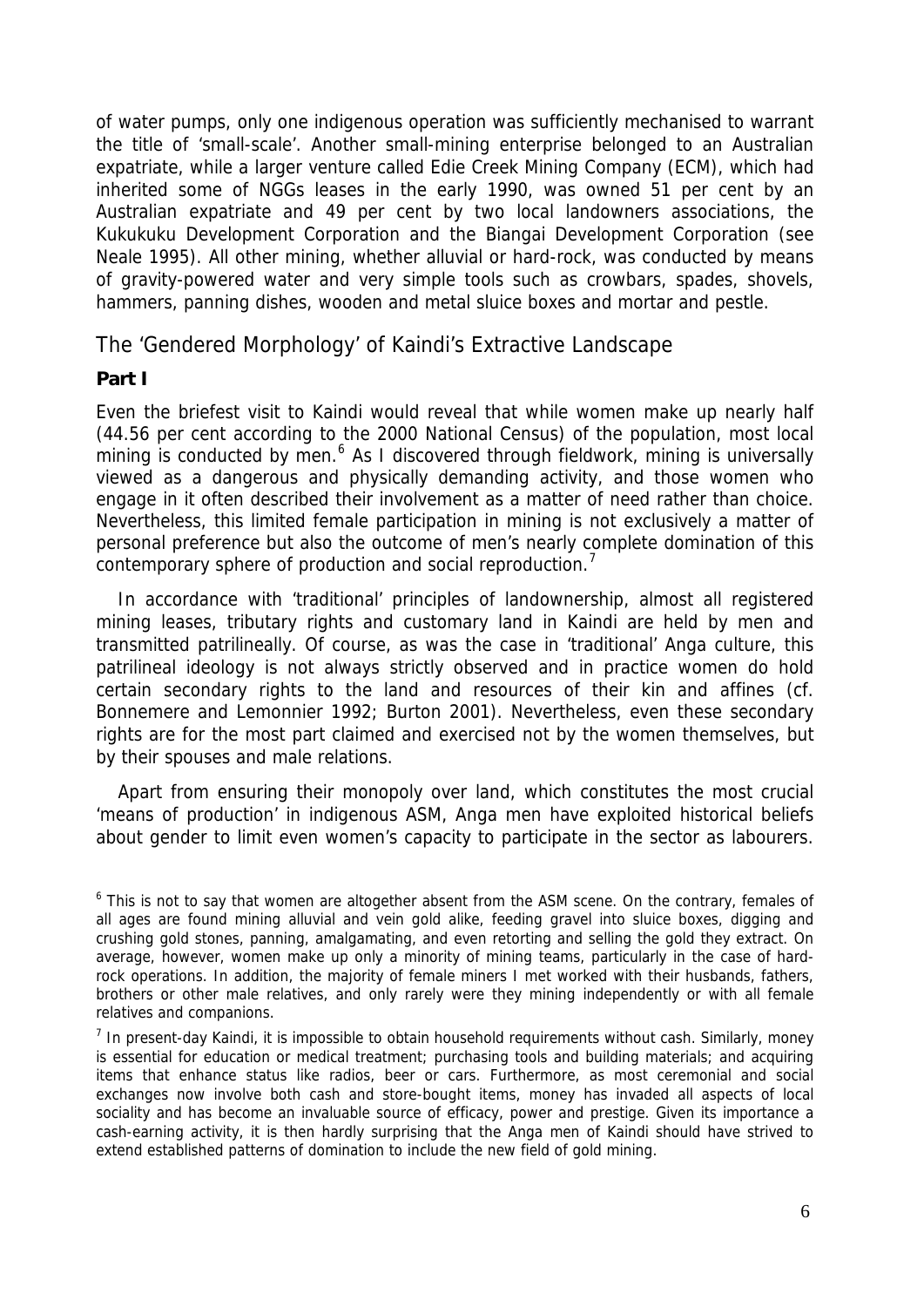of water pumps, only one indigenous operation was sufficiently mechanised to warrant the title of 'small-scale'. Another small-mining enterprise belonged to an Australian expatriate, while a larger venture called Edie Creek Mining Company (ECM), which had inherited some of NGGs leases in the early 1990, was owned 51 per cent by an Australian expatriate and 49 per cent by two local landowners associations, the Kukukuku Development Corporation and the Biangai Development Corporation (see Neale 1995). All other mining, whether alluvial or hard-rock, was conducted by means of gravity-powered water and very simple tools such as crowbars, spades, shovels, hammers, panning dishes, wooden and metal sluice boxes and mortar and pestle.

The 'Gendered Morphology' of Kaindi's Extractive Landscape

#### **Part I**

Even the briefest visit to Kaindi would reveal that while women make up nearly half (44.56 per cent according to the 2000 National Census) of the population, most local mining is conducted by men.<sup>[6](#page-5-0)</sup> As I discovered through fieldwork, mining is universally viewed as a dangerous and physically demanding activity, and those women who engage in it often described their involvement as a matter of need rather than choice. Nevertheless, this limited female participation in mining is not exclusively a matter of personal preference but also the outcome of men's nearly complete domination of this contemporary sphere of production and social reproduction.<sup>[7](#page-5-1)</sup>

In accordance with 'traditional' principles of landownership, almost all registered mining leases, tributary rights and customary land in Kaindi are held by men and transmitted patrilineally. Of course, as was the case in 'traditional' Anga culture, this patrilineal ideology is not always strictly observed and in practice women do hold certain secondary rights to the land and resources of their kin and affines (cf. Bonnemere and Lemonnier 1992; Burton 2001). Nevertheless, even these secondary rights are for the most part claimed and exercised not by the women themselves, but by their spouses and male relations.

Apart from ensuring their monopoly over land, which constitutes the most crucial 'means of production' in indigenous ASM, Anga men have exploited historical beliefs about gender to limit even women's capacity to participate in the sector as labourers.

<span id="page-5-0"></span><sup>&</sup>lt;sup>6</sup> This is not to say that women are altogether absent from the ASM scene. On the contrary, females of all ages are found mining alluvial and vein gold alike, feeding gravel into sluice boxes, digging and crushing gold stones, panning, amalgamating, and even retorting and selling the gold they extract. On average, however, women make up only a minority of mining teams, particularly in the case of hardrock operations. In addition, the majority of female miners I met worked with their husbands, fathers, brothers or other male relatives, and only rarely were they mining independently or with all female relatives and companions.

<span id="page-5-1"></span><sup>&</sup>lt;sup>7</sup> In present-day Kaindi, it is impossible to obtain household requirements without cash. Similarly, money is essential for education or medical treatment; purchasing tools and building materials; and acquiring items that enhance status like radios, beer or cars. Furthermore, as most ceremonial and social exchanges now involve both cash and store-bought items, money has invaded all aspects of local sociality and has become an invaluable source of efficacy, power and prestige. Given its importance a cash-earning activity, it is then hardly surprising that the Anga men of Kaindi should have strived to extend established patterns of domination to include the new field of gold mining.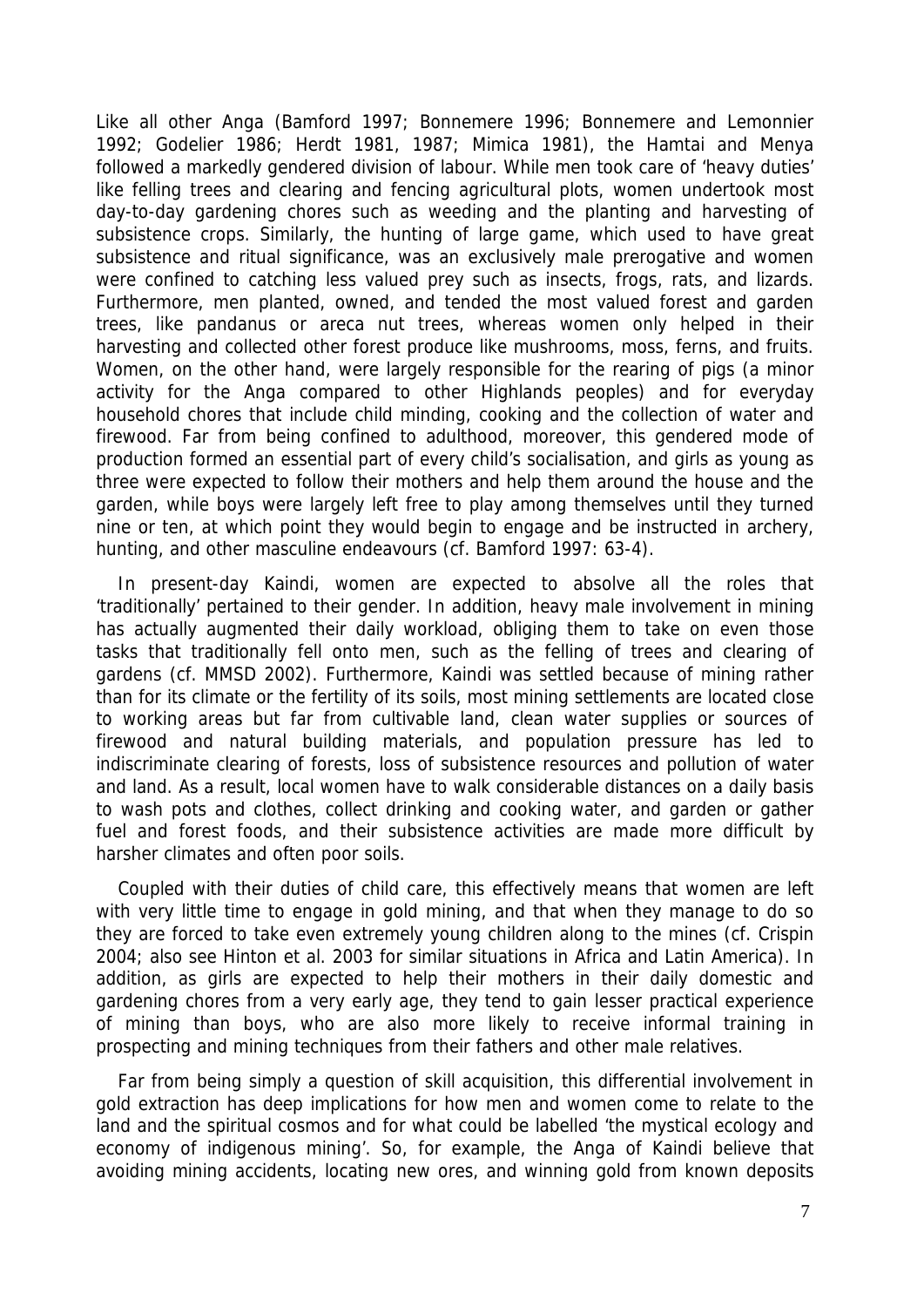Like all other Anga (Bamford 1997; Bonnemere 1996; Bonnemere and Lemonnier 1992; Godelier 1986; Herdt 1981, 1987; Mimica 1981), the Hamtai and Menya followed a markedly gendered division of labour. While men took care of 'heavy duties' like felling trees and clearing and fencing agricultural plots, women undertook most day-to-day gardening chores such as weeding and the planting and harvesting of subsistence crops. Similarly, the hunting of large game, which used to have great subsistence and ritual significance, was an exclusively male prerogative and women were confined to catching less valued prey such as insects, frogs, rats, and lizards. Furthermore, men planted, owned, and tended the most valued forest and garden trees, like pandanus or areca nut trees, whereas women only helped in their harvesting and collected other forest produce like mushrooms, moss, ferns, and fruits. Women, on the other hand, were largely responsible for the rearing of pigs (a minor activity for the Anga compared to other Highlands peoples) and for everyday household chores that include child minding, cooking and the collection of water and firewood. Far from being confined to adulthood, moreover, this gendered mode of production formed an essential part of every child's socialisation, and girls as young as three were expected to follow their mothers and help them around the house and the garden, while boys were largely left free to play among themselves until they turned nine or ten, at which point they would begin to engage and be instructed in archery, hunting, and other masculine endeavours (cf. Bamford 1997: 63-4).

In present-day Kaindi, women are expected to absolve all the roles that 'traditionally' pertained to their gender. In addition, heavy male involvement in mining has actually augmented their daily workload, obliging them to take on even those tasks that traditionally fell onto men, such as the felling of trees and clearing of gardens (cf. MMSD 2002). Furthermore, Kaindi was settled because of mining rather than for its climate or the fertility of its soils, most mining settlements are located close to working areas but far from cultivable land, clean water supplies or sources of firewood and natural building materials, and population pressure has led to indiscriminate clearing of forests, loss of subsistence resources and pollution of water and land. As a result, local women have to walk considerable distances on a daily basis to wash pots and clothes, collect drinking and cooking water, and garden or gather fuel and forest foods, and their subsistence activities are made more difficult by harsher climates and often poor soils.

Coupled with their duties of child care, this effectively means that women are left with very little time to engage in gold mining, and that when they manage to do so they are forced to take even extremely young children along to the mines (cf. Crispin 2004; also see Hinton et al. 2003 for similar situations in Africa and Latin America). In addition, as girls are expected to help their mothers in their daily domestic and gardening chores from a very early age, they tend to gain lesser practical experience of mining than boys, who are also more likely to receive informal training in prospecting and mining techniques from their fathers and other male relatives.

Far from being simply a question of skill acquisition, this differential involvement in gold extraction has deep implications for how men and women come to relate to the land and the spiritual cosmos and for what could be labelled 'the mystical ecology and economy of indigenous mining'. So, for example, the Anga of Kaindi believe that avoiding mining accidents, locating new ores, and winning gold from known deposits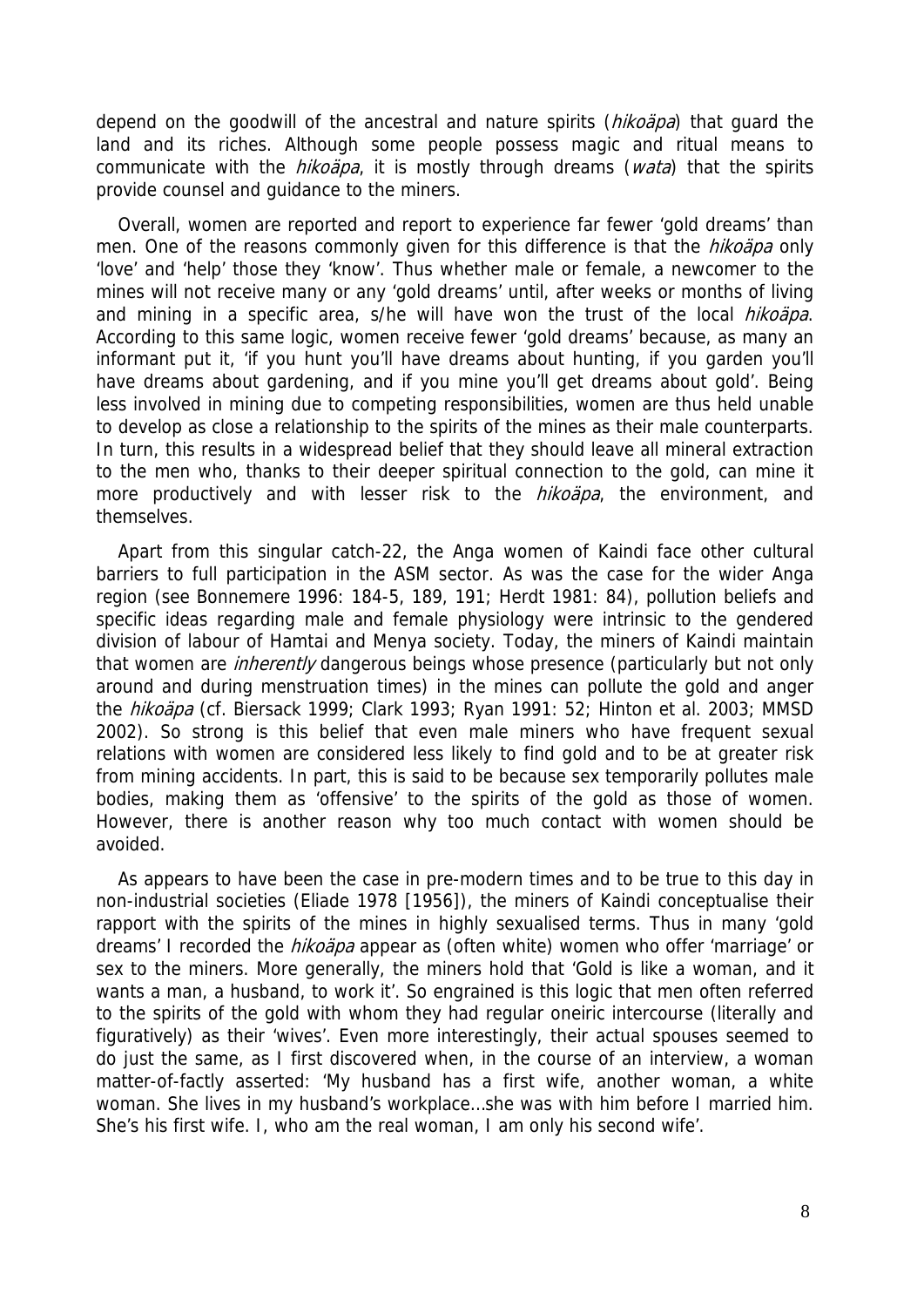depend on the goodwill of the ancestral and nature spirits (hikoäpa) that guard the land and its riches. Although some people possess magic and ritual means to communicate with the *hikoäpa*, it is mostly through dreams (wata) that the spirits provide counsel and guidance to the miners.

Overall, women are reported and report to experience far fewer 'gold dreams' than men. One of the reasons commonly given for this difference is that the *hikoäpa* only 'love' and 'help' those they 'know'. Thus whether male or female, a newcomer to the mines will not receive many or any 'gold dreams' until, after weeks or months of living and mining in a specific area, s/he will have won the trust of the local *hikoäpa*. According to this same logic, women receive fewer 'gold dreams' because, as many an informant put it, 'if you hunt you'll have dreams about hunting, if you garden you'll have dreams about gardening, and if you mine you'll get dreams about gold'. Being less involved in mining due to competing responsibilities, women are thus held unable to develop as close a relationship to the spirits of the mines as their male counterparts. In turn, this results in a widespread belief that they should leave all mineral extraction to the men who, thanks to their deeper spiritual connection to the gold, can mine it more productively and with lesser risk to the *hikoäpa*, the environment, and themselves.

Apart from this singular catch-22, the Anga women of Kaindi face other cultural barriers to full participation in the ASM sector. As was the case for the wider Anga region (see Bonnemere 1996: 184-5, 189, 191; Herdt 1981: 84), pollution beliefs and specific ideas regarding male and female physiology were intrinsic to the gendered division of labour of Hamtai and Menya society. Today, the miners of Kaindi maintain that women are *inherently* dangerous beings whose presence (particularly but not only around and during menstruation times) in the mines can pollute the gold and anger the hikoäpa (cf. Biersack 1999; Clark 1993; Ryan 1991: 52; Hinton et al. 2003; MMSD 2002). So strong is this belief that even male miners who have frequent sexual relations with women are considered less likely to find gold and to be at greater risk from mining accidents. In part, this is said to be because sex temporarily pollutes male bodies, making them as 'offensive' to the spirits of the gold as those of women. However, there is another reason why too much contact with women should be avoided.

As appears to have been the case in pre-modern times and to be true to this day in non-industrial societies (Eliade 1978 [1956]), the miners of Kaindi conceptualise their rapport with the spirits of the mines in highly sexualised terms. Thus in many 'gold dreams' I recorded the *hikoäpa* appear as (often white) women who offer 'marriage' or sex to the miners. More generally, the miners hold that 'Gold is like a woman, and it wants a man, a husband, to work it'. So engrained is this logic that men often referred to the spirits of the gold with whom they had regular oneiric intercourse (literally and figuratively) as their 'wives'. Even more interestingly, their actual spouses seemed to do just the same, as I first discovered when, in the course of an interview, a woman matter-of-factly asserted: 'My husband has a first wife, another woman, a white woman. She lives in my husband's workplace…she was with him before I married him. She's his first wife. I, who am the real woman, I am only his second wife'.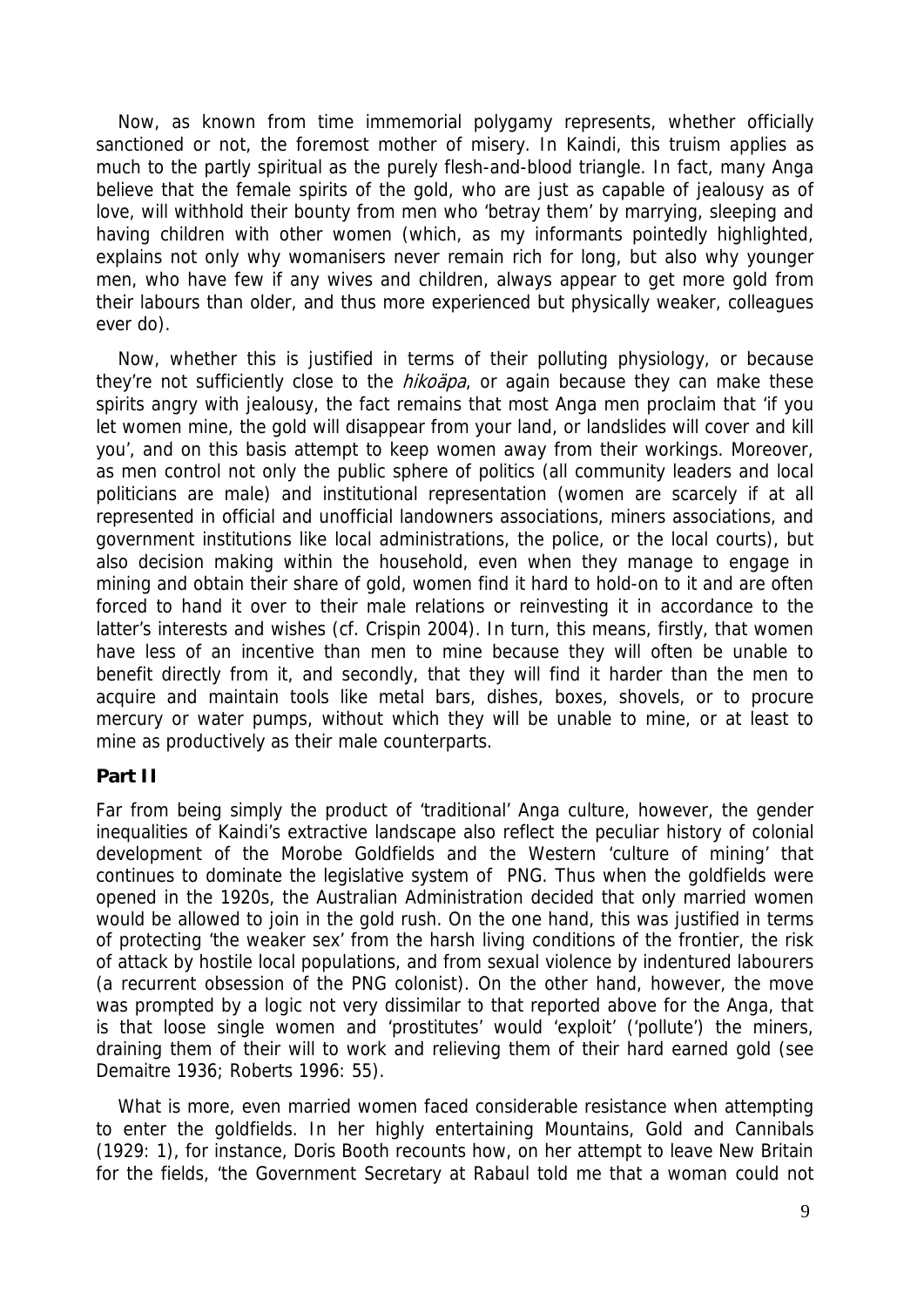Now, as known from time immemorial polygamy represents, whether officially sanctioned or not, the foremost mother of misery. In Kaindi, this truism applies as much to the partly spiritual as the purely flesh-and-blood triangle. In fact, many Anga believe that the female spirits of the gold, who are just as capable of jealousy as of love, will withhold their bounty from men who 'betray them' by marrying, sleeping and having children with other women (which, as my informants pointedly highlighted, explains not only why womanisers never remain rich for long, but also why younger men, who have few if any wives and children, always appear to get more gold from their labours than older, and thus more experienced but physically weaker, colleagues ever do).

Now, whether this is justified in terms of their polluting physiology, or because they're not sufficiently close to the *hikoäpa*, or again because they can make these spirits angry with jealousy, the fact remains that most Anga men proclaim that 'if you let women mine, the gold will disappear from your land, or landslides will cover and kill you', and on this basis attempt to keep women away from their workings. Moreover, as men control not only the public sphere of politics (all community leaders and local politicians are male) and institutional representation (women are scarcely if at all represented in official and unofficial landowners associations, miners associations, and government institutions like local administrations, the police, or the local courts), but also decision making within the household, even when they manage to engage in mining and obtain their share of gold, women find it hard to hold-on to it and are often forced to hand it over to their male relations or reinvesting it in accordance to the latter's interests and wishes (cf. Crispin 2004). In turn, this means, firstly, that women have less of an incentive than men to mine because they will often be unable to benefit directly from it, and secondly, that they will find it harder than the men to acquire and maintain tools like metal bars, dishes, boxes, shovels, or to procure mercury or water pumps, without which they will be unable to mine, or at least to mine as productively as their male counterparts.

#### **Part II**

Far from being simply the product of 'traditional' Anga culture, however, the gender inequalities of Kaindi's extractive landscape also reflect the peculiar history of colonial development of the Morobe Goldfields and the Western 'culture of mining' that continues to dominate the legislative system of PNG. Thus when the goldfields were opened in the 1920s, the Australian Administration decided that only married women would be allowed to join in the gold rush. On the one hand, this was justified in terms of protecting 'the weaker sex' from the harsh living conditions of the frontier, the risk of attack by hostile local populations, and from sexual violence by indentured labourers (a recurrent obsession of the PNG colonist). On the other hand, however, the move was prompted by a logic not very dissimilar to that reported above for the Anga, that is that loose single women and 'prostitutes' would 'exploit' ('pollute') the miners, draining them of their will to work and relieving them of their hard earned gold (see Demaitre 1936; Roberts 1996: 55).

What is more, even married women faced considerable resistance when attempting to enter the goldfields. In her highly entertaining Mountains, Gold and Cannibals (1929: 1), for instance, Doris Booth recounts how, on her attempt to leave New Britain for the fields, 'the Government Secretary at Rabaul told me that a woman could not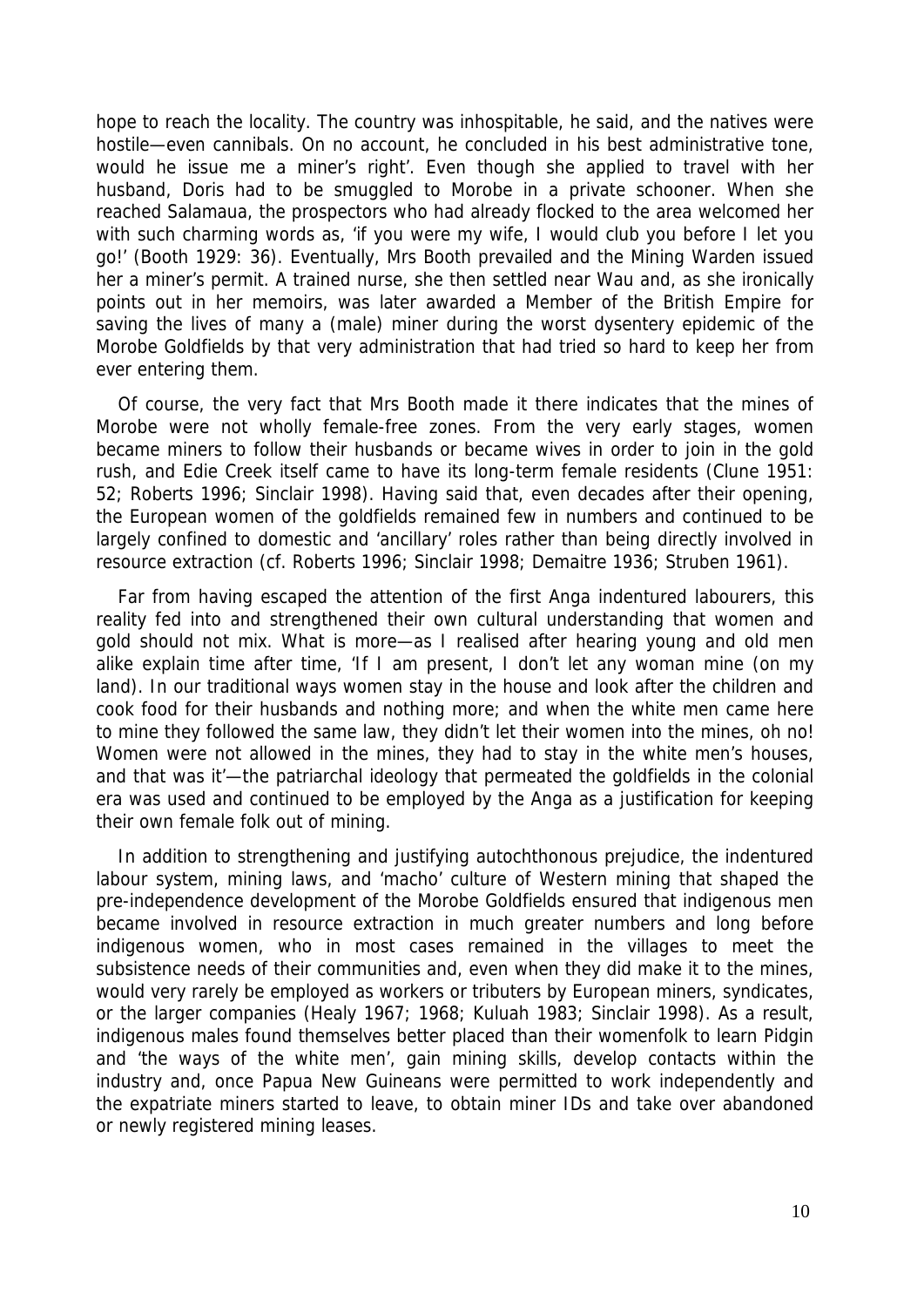hope to reach the locality. The country was inhospitable, he said, and the natives were hostile—even cannibals. On no account, he concluded in his best administrative tone, would he issue me a miner's right'. Even though she applied to travel with her husband, Doris had to be smuggled to Morobe in a private schooner. When she reached Salamaua, the prospectors who had already flocked to the area welcomed her with such charming words as, 'if you were my wife, I would club you before I let you go!' (Booth 1929: 36). Eventually, Mrs Booth prevailed and the Mining Warden issued her a miner's permit. A trained nurse, she then settled near Wau and, as she ironically points out in her memoirs, was later awarded a Member of the British Empire for saving the lives of many a (male) miner during the worst dysentery epidemic of the Morobe Goldfields by that very administration that had tried so hard to keep her from ever entering them.

Of course, the very fact that Mrs Booth made it there indicates that the mines of Morobe were not wholly female-free zones. From the very early stages, women became miners to follow their husbands or became wives in order to join in the gold rush, and Edie Creek itself came to have its long-term female residents (Clune 1951: 52; Roberts 1996; Sinclair 1998). Having said that, even decades after their opening, the European women of the goldfields remained few in numbers and continued to be largely confined to domestic and 'ancillary' roles rather than being directly involved in resource extraction (cf. Roberts 1996; Sinclair 1998; Demaitre 1936; Struben 1961).

Far from having escaped the attention of the first Anga indentured labourers, this reality fed into and strengthened their own cultural understanding that women and gold should not mix. What is more—as I realised after hearing young and old men alike explain time after time, 'If I am present, I don't let any woman mine (on my land). In our traditional ways women stay in the house and look after the children and cook food for their husbands and nothing more; and when the white men came here to mine they followed the same law, they didn't let their women into the mines, oh no! Women were not allowed in the mines, they had to stay in the white men's houses, and that was it'—the patriarchal ideology that permeated the goldfields in the colonial era was used and continued to be employed by the Anga as a justification for keeping their own female folk out of mining.

In addition to strengthening and justifying autochthonous prejudice, the indentured labour system, mining laws, and 'macho' culture of Western mining that shaped the pre-independence development of the Morobe Goldfields ensured that indigenous men became involved in resource extraction in much greater numbers and long before indigenous women, who in most cases remained in the villages to meet the subsistence needs of their communities and, even when they did make it to the mines, would very rarely be employed as workers or tributers by European miners, syndicates, or the larger companies (Healy 1967; 1968; Kuluah 1983; Sinclair 1998). As a result, indigenous males found themselves better placed than their womenfolk to learn Pidgin and 'the ways of the white men', gain mining skills, develop contacts within the industry and, once Papua New Guineans were permitted to work independently and the expatriate miners started to leave, to obtain miner IDs and take over abandoned or newly registered mining leases.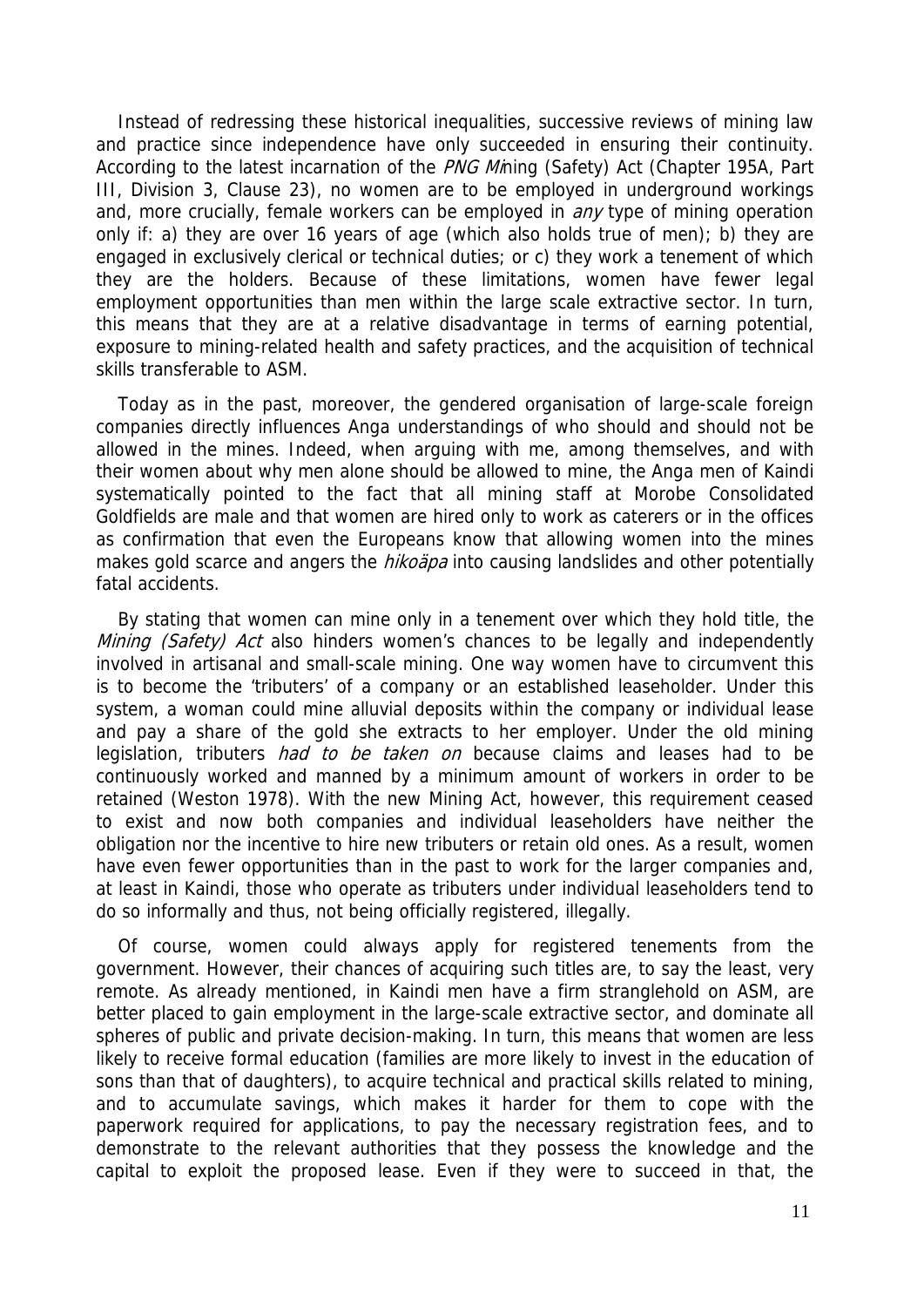Instead of redressing these historical inequalities, successive reviews of mining law and practice since independence have only succeeded in ensuring their continuity. According to the latest incarnation of the PNG Mining (Safety) Act (Chapter 195A, Part III, Division 3, Clause 23), no women are to be employed in underground workings and, more crucially, female workers can be employed in *any* type of mining operation only if: a) they are over 16 years of age (which also holds true of men); b) they are engaged in exclusively clerical or technical duties; or c) they work a tenement of which they are the holders. Because of these limitations, women have fewer legal employment opportunities than men within the large scale extractive sector. In turn, this means that they are at a relative disadvantage in terms of earning potential, exposure to mining-related health and safety practices, and the acquisition of technical skills transferable to ASM.

Today as in the past, moreover, the gendered organisation of large-scale foreign companies directly influences Anga understandings of who should and should not be allowed in the mines. Indeed, when arguing with me, among themselves, and with their women about why men alone should be allowed to mine, the Anga men of Kaindi systematically pointed to the fact that all mining staff at Morobe Consolidated Goldfields are male and that women are hired only to work as caterers or in the offices as confirmation that even the Europeans know that allowing women into the mines makes gold scarce and angers the *hikoäpa* into causing landslides and other potentially fatal accidents.

By stating that women can mine only in a tenement over which they hold title, the *Mining (Safety) Act* also hinders women's chances to be legally and independently involved in artisanal and small-scale mining. One way women have to circumvent this is to become the 'tributers' of a company or an established leaseholder. Under this system, a woman could mine alluvial deposits within the company or individual lease and pay a share of the gold she extracts to her employer. Under the old mining legislation, tributers *had to be taken on* because claims and leases had to be continuously worked and manned by a minimum amount of workers in order to be retained (Weston 1978). With the new Mining Act, however, this requirement ceased to exist and now both companies and individual leaseholders have neither the obligation nor the incentive to hire new tributers or retain old ones. As a result, women have even fewer opportunities than in the past to work for the larger companies and, at least in Kaindi, those who operate as tributers under individual leaseholders tend to do so informally and thus, not being officially registered, illegally.

Of course, women could always apply for registered tenements from the government. However, their chances of acquiring such titles are, to say the least, very remote. As already mentioned, in Kaindi men have a firm stranglehold on ASM, are better placed to gain employment in the large-scale extractive sector, and dominate all spheres of public and private decision-making. In turn, this means that women are less likely to receive formal education (families are more likely to invest in the education of sons than that of daughters), to acquire technical and practical skills related to mining, and to accumulate savings, which makes it harder for them to cope with the paperwork required for applications, to pay the necessary registration fees, and to demonstrate to the relevant authorities that they possess the knowledge and the capital to exploit the proposed lease. Even if they were to succeed in that, the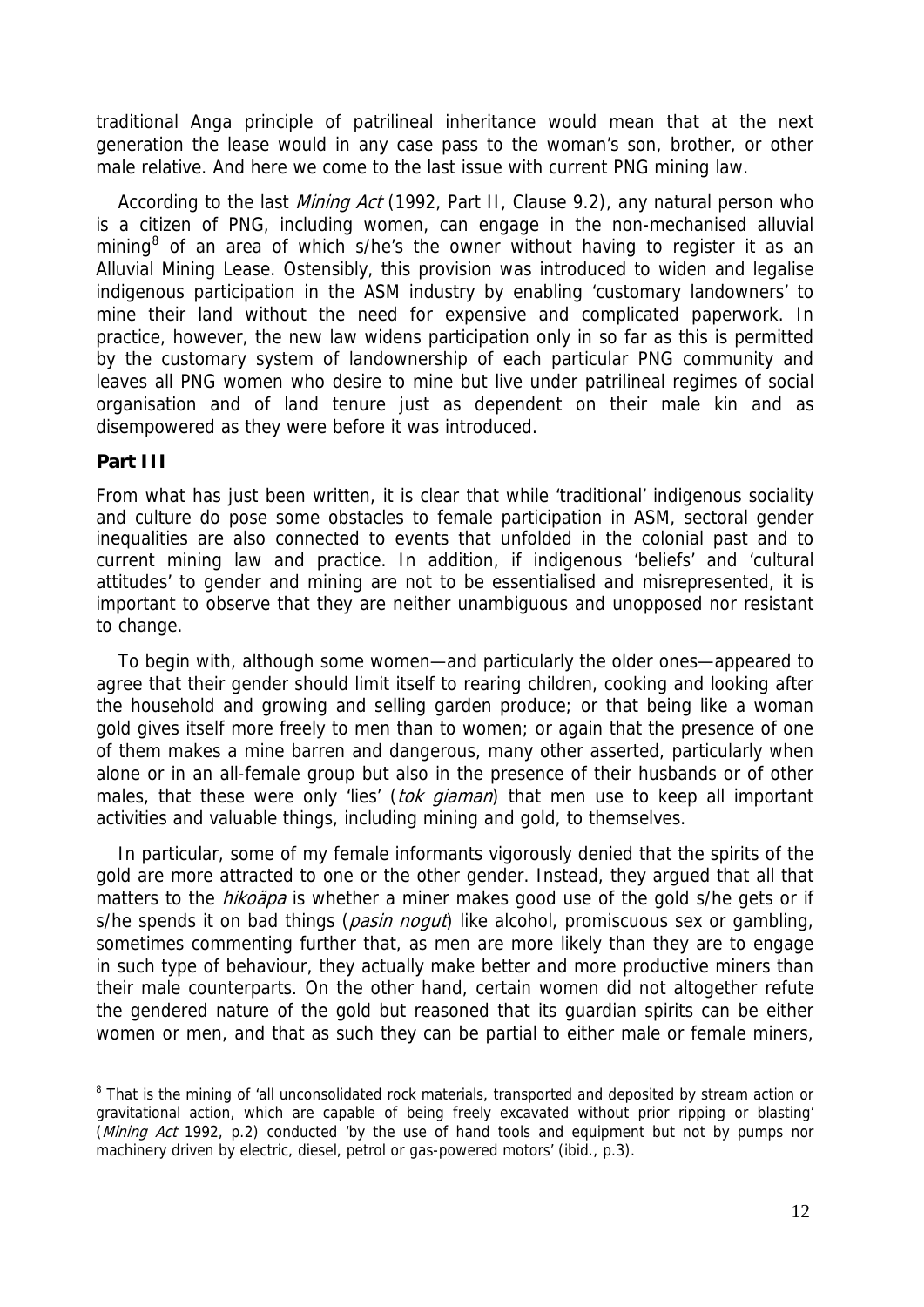traditional Anga principle of patrilineal inheritance would mean that at the next generation the lease would in any case pass to the woman's son, brother, or other male relative. And here we come to the last issue with current PNG mining law.

According to the last *Mining Act* (1992, Part II, Clause 9.2), any natural person who is a citizen of PNG, including women, can engage in the non-mechanised alluvial mining<sup>[8](#page-11-0)</sup> of an area of which s/he's the owner without having to register it as an Alluvial Mining Lease. Ostensibly, this provision was introduced to widen and legalise indigenous participation in the ASM industry by enabling 'customary landowners' to mine their land without the need for expensive and complicated paperwork. In practice, however, the new law widens participation only in so far as this is permitted by the customary system of landownership of each particular PNG community and leaves all PNG women who desire to mine but live under patrilineal regimes of social organisation and of land tenure just as dependent on their male kin and as disempowered as they were before it was introduced.

#### **Part III**

From what has just been written, it is clear that while 'traditional' indigenous sociality and culture do pose some obstacles to female participation in ASM, sectoral gender inequalities are also connected to events that unfolded in the colonial past and to current mining law and practice. In addition, if indigenous 'beliefs' and 'cultural attitudes' to gender and mining are not to be essentialised and misrepresented, it is important to observe that they are neither unambiguous and unopposed nor resistant to change.

To begin with, although some women—and particularly the older ones—appeared to agree that their gender should limit itself to rearing children, cooking and looking after the household and growing and selling garden produce; or that being like a woman gold gives itself more freely to men than to women; or again that the presence of one of them makes a mine barren and dangerous, many other asserted, particularly when alone or in an all-female group but also in the presence of their husbands or of other males, that these were only 'lies' (tok giaman) that men use to keep all important activities and valuable things, including mining and gold, to themselves.

In particular, some of my female informants vigorously denied that the spirits of the gold are more attracted to one or the other gender. Instead, they argued that all that matters to the *hikoäpa* is whether a miner makes good use of the gold s/he gets or if s/he spends it on bad things (*pasin nogut*) like alcohol, promiscuous sex or gambling, sometimes commenting further that, as men are more likely than they are to engage in such type of behaviour, they actually make better and more productive miners than their male counterparts. On the other hand, certain women did not altogether refute the gendered nature of the gold but reasoned that its guardian spirits can be either women or men, and that as such they can be partial to either male or female miners,

<span id="page-11-0"></span><sup>&</sup>lt;sup>8</sup> That is the mining of 'all unconsolidated rock materials, transported and deposited by stream action or gravitational action, which are capable of being freely excavated without prior ripping or blasting' (*Mining Act* 1992, p.2) conducted 'by the use of hand tools and equipment but not by pumps nor machinery driven by electric, diesel, petrol or gas-powered motors' (ibid., p.3).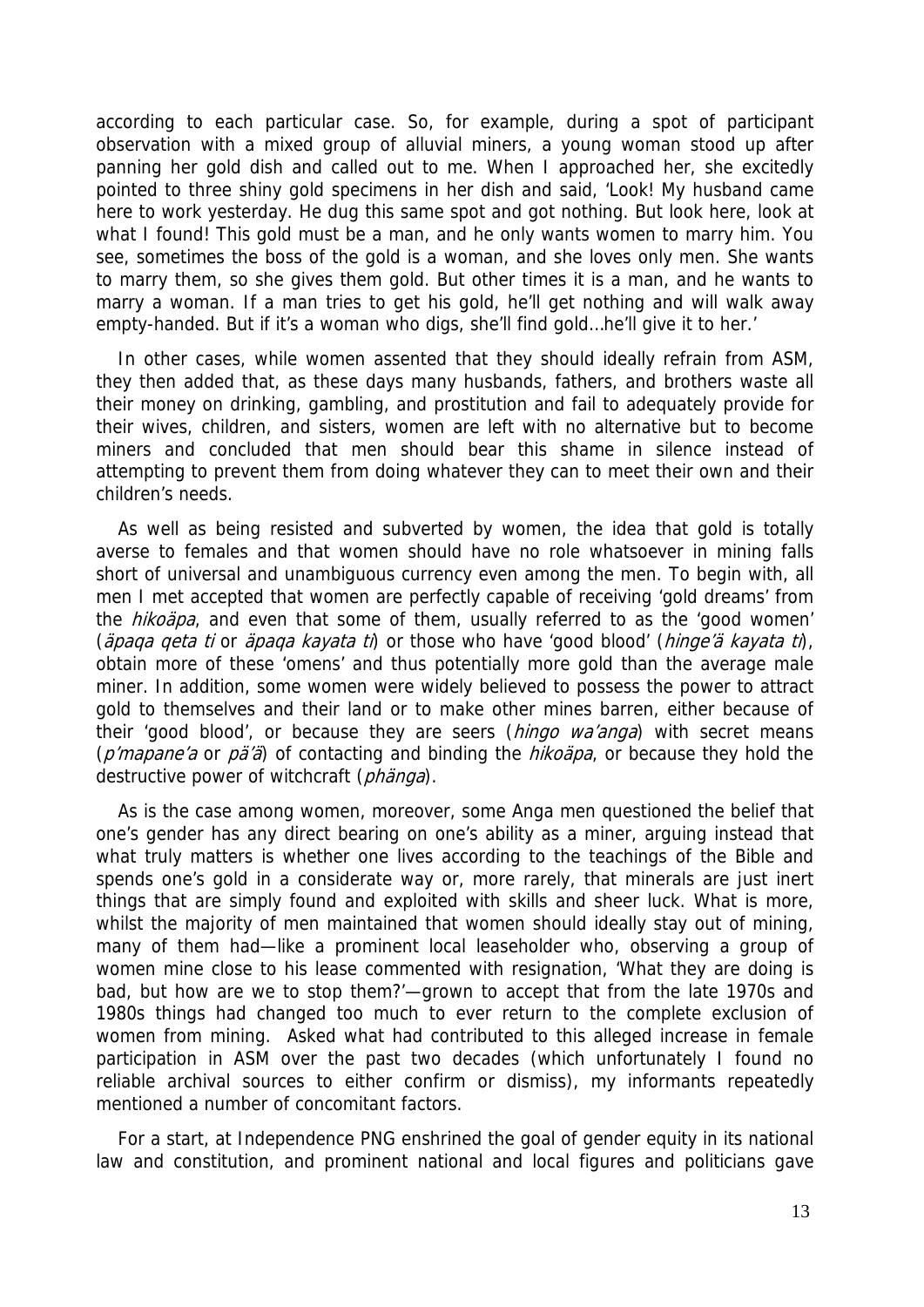according to each particular case. So, for example, during a spot of participant observation with a mixed group of alluvial miners, a young woman stood up after panning her gold dish and called out to me. When I approached her, she excitedly pointed to three shiny gold specimens in her dish and said, 'Look! My husband came here to work yesterday. He dug this same spot and got nothing. But look here, look at what I found! This gold must be a man, and he only wants women to marry him. You see, sometimes the boss of the gold is a woman, and she loves only men. She wants to marry them, so she gives them gold. But other times it is a man, and he wants to marry a woman. If a man tries to get his gold, he'll get nothing and will walk away empty-handed. But if it's a woman who digs, she'll find gold…he'll give it to her.'

In other cases, while women assented that they should ideally refrain from ASM, they then added that, as these days many husbands, fathers, and brothers waste all their money on drinking, gambling, and prostitution and fail to adequately provide for their wives, children, and sisters, women are left with no alternative but to become miners and concluded that men should bear this shame in silence instead of attempting to prevent them from doing whatever they can to meet their own and their children's needs.

As well as being resisted and subverted by women, the idea that gold is totally averse to females and that women should have no role whatsoever in mining falls short of universal and unambiguous currency even among the men. To begin with, all men I met accepted that women are perfectly capable of receiving 'gold dreams' from the *hikoäpa*, and even that some of them, usually referred to as the 'good women' (*äpaqa qeta ti* or *äpaqa kayata ti*) or those who have 'qood blood' (*hinge'ä kayata ti*), obtain more of these 'omens' and thus potentially more gold than the average male miner. In addition, some women were widely believed to possess the power to attract gold to themselves and their land or to make other mines barren, either because of their 'good blood', or because they are seers (hingo wa'anga) with secret means ( $p'mapane'a$  or  $pä'd$ ) of contacting and binding the hikoäpa, or because they hold the destructive power of witchcraft (*phänga*).

As is the case among women, moreover, some Anga men questioned the belief that one's gender has any direct bearing on one's ability as a miner, arguing instead that what truly matters is whether one lives according to the teachings of the Bible and spends one's gold in a considerate way or, more rarely, that minerals are just inert things that are simply found and exploited with skills and sheer luck. What is more, whilst the majority of men maintained that women should ideally stay out of mining, many of them had—like a prominent local leaseholder who, observing a group of women mine close to his lease commented with resignation, 'What they are doing is bad, but how are we to stop them?'—grown to accept that from the late 1970s and 1980s things had changed too much to ever return to the complete exclusion of women from mining. Asked what had contributed to this alleged increase in female participation in ASM over the past two decades (which unfortunately I found no reliable archival sources to either confirm or dismiss), my informants repeatedly mentioned a number of concomitant factors.

For a start, at Independence PNG enshrined the goal of gender equity in its national law and constitution, and prominent national and local figures and politicians gave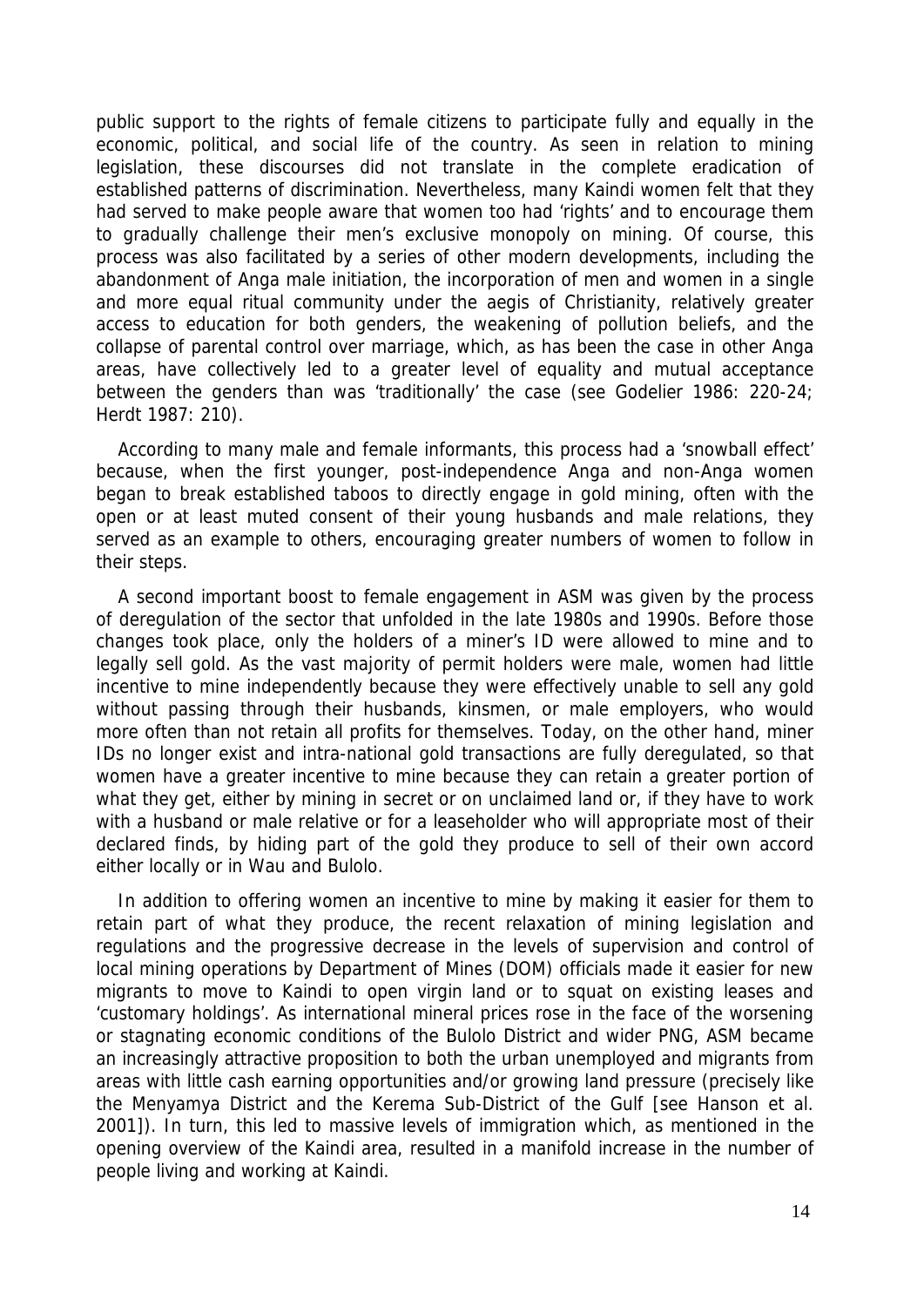public support to the rights of female citizens to participate fully and equally in the economic, political, and social life of the country. As seen in relation to mining legislation, these discourses did not translate in the complete eradication of established patterns of discrimination. Nevertheless, many Kaindi women felt that they had served to make people aware that women too had 'rights' and to encourage them to gradually challenge their men's exclusive monopoly on mining. Of course, this process was also facilitated by a series of other modern developments, including the abandonment of Anga male initiation, the incorporation of men and women in a single and more equal ritual community under the aegis of Christianity, relatively greater access to education for both genders, the weakening of pollution beliefs, and the collapse of parental control over marriage, which, as has been the case in other Anga areas, have collectively led to a greater level of equality and mutual acceptance between the genders than was 'traditionally' the case (see Godelier 1986: 220-24; Herdt 1987: 210).

According to many male and female informants, this process had a 'snowball effect' because, when the first younger, post-independence Anga and non-Anga women began to break established taboos to directly engage in gold mining, often with the open or at least muted consent of their young husbands and male relations, they served as an example to others, encouraging greater numbers of women to follow in their steps.

A second important boost to female engagement in ASM was given by the process of deregulation of the sector that unfolded in the late 1980s and 1990s. Before those changes took place, only the holders of a miner's ID were allowed to mine and to legally sell gold. As the vast majority of permit holders were male, women had little incentive to mine independently because they were effectively unable to sell any gold without passing through their husbands, kinsmen, or male employers, who would more often than not retain all profits for themselves. Today, on the other hand, miner IDs no longer exist and intra-national gold transactions are fully deregulated, so that women have a greater incentive to mine because they can retain a greater portion of what they get, either by mining in secret or on unclaimed land or, if they have to work with a husband or male relative or for a leaseholder who will appropriate most of their declared finds, by hiding part of the gold they produce to sell of their own accord either locally or in Wau and Bulolo.

In addition to offering women an incentive to mine by making it easier for them to retain part of what they produce, the recent relaxation of mining legislation and regulations and the progressive decrease in the levels of supervision and control of local mining operations by Department of Mines (DOM) officials made it easier for new migrants to move to Kaindi to open virgin land or to squat on existing leases and 'customary holdings'. As international mineral prices rose in the face of the worsening or stagnating economic conditions of the Bulolo District and wider PNG, ASM became an increasingly attractive proposition to both the urban unemployed and migrants from areas with little cash earning opportunities and/or growing land pressure (precisely like the Menyamya District and the Kerema Sub-District of the Gulf [see Hanson et al. 2001]). In turn, this led to massive levels of immigration which, as mentioned in the opening overview of the Kaindi area, resulted in a manifold increase in the number of people living and working at Kaindi.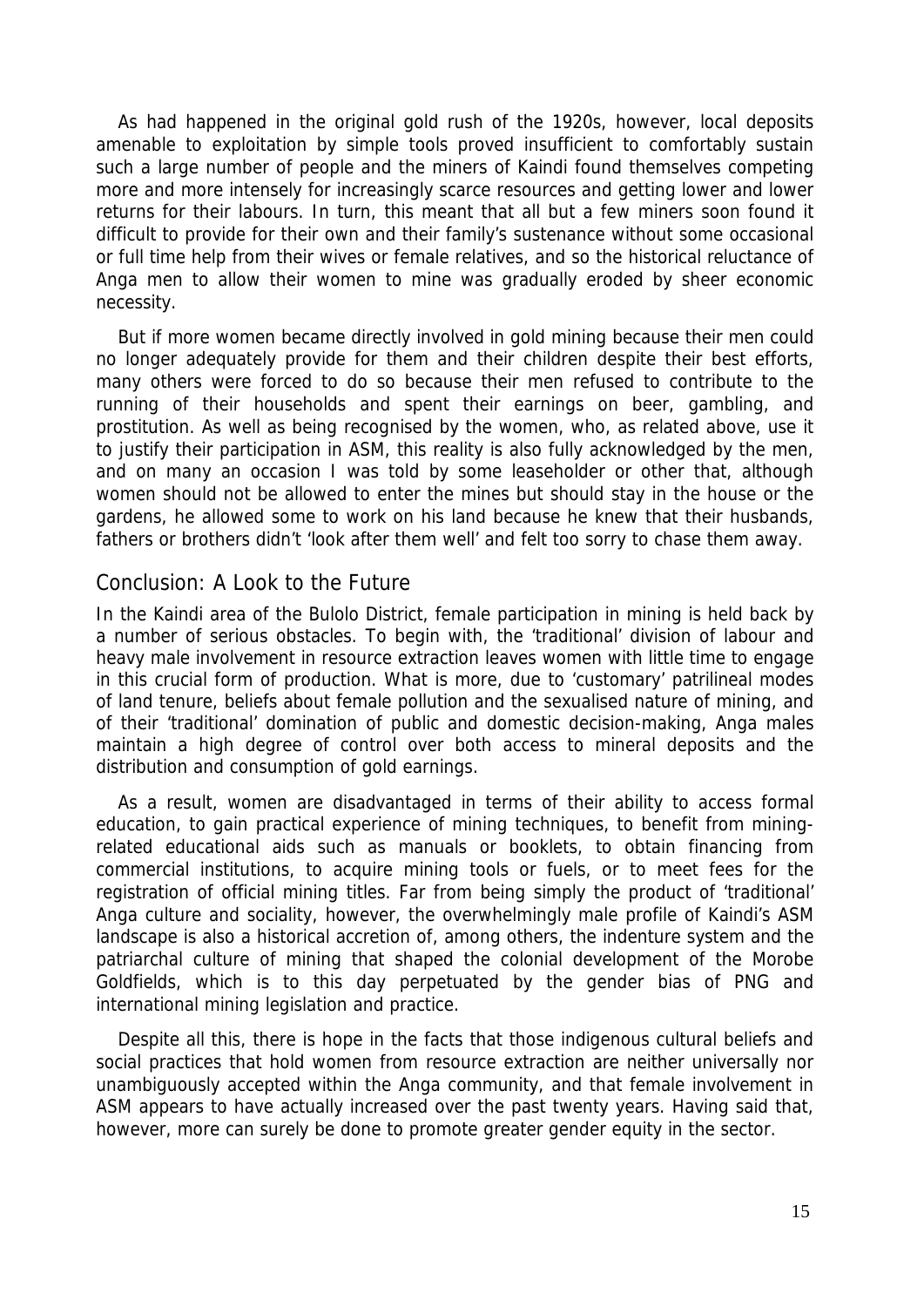As had happened in the original gold rush of the 1920s, however, local deposits amenable to exploitation by simple tools proved insufficient to comfortably sustain such a large number of people and the miners of Kaindi found themselves competing more and more intensely for increasingly scarce resources and getting lower and lower returns for their labours. In turn, this meant that all but a few miners soon found it difficult to provide for their own and their family's sustenance without some occasional or full time help from their wives or female relatives, and so the historical reluctance of Anga men to allow their women to mine was gradually eroded by sheer economic necessity.

But if more women became directly involved in gold mining because their men could no longer adequately provide for them and their children despite their best efforts, many others were forced to do so because their men refused to contribute to the running of their households and spent their earnings on beer, gambling, and prostitution. As well as being recognised by the women, who, as related above, use it to justify their participation in ASM, this reality is also fully acknowledged by the men, and on many an occasion I was told by some leaseholder or other that, although women should not be allowed to enter the mines but should stay in the house or the gardens, he allowed some to work on his land because he knew that their husbands, fathers or brothers didn't 'look after them well' and felt too sorry to chase them away.

#### Conclusion: A Look to the Future

In the Kaindi area of the Bulolo District, female participation in mining is held back by a number of serious obstacles. To begin with, the 'traditional' division of labour and heavy male involvement in resource extraction leaves women with little time to engage in this crucial form of production. What is more, due to 'customary' patrilineal modes of land tenure, beliefs about female pollution and the sexualised nature of mining, and of their 'traditional' domination of public and domestic decision-making, Anga males maintain a high degree of control over both access to mineral deposits and the distribution and consumption of gold earnings.

As a result, women are disadvantaged in terms of their ability to access formal education, to gain practical experience of mining techniques, to benefit from miningrelated educational aids such as manuals or booklets, to obtain financing from commercial institutions, to acquire mining tools or fuels, or to meet fees for the registration of official mining titles. Far from being simply the product of 'traditional' Anga culture and sociality, however, the overwhelmingly male profile of Kaindi's ASM landscape is also a historical accretion of, among others, the indenture system and the patriarchal culture of mining that shaped the colonial development of the Morobe Goldfields, which is to this day perpetuated by the gender bias of PNG and international mining legislation and practice.

Despite all this, there is hope in the facts that those indigenous cultural beliefs and social practices that hold women from resource extraction are neither universally nor unambiguously accepted within the Anga community, and that female involvement in ASM appears to have actually increased over the past twenty years. Having said that, however, more can surely be done to promote greater gender equity in the sector.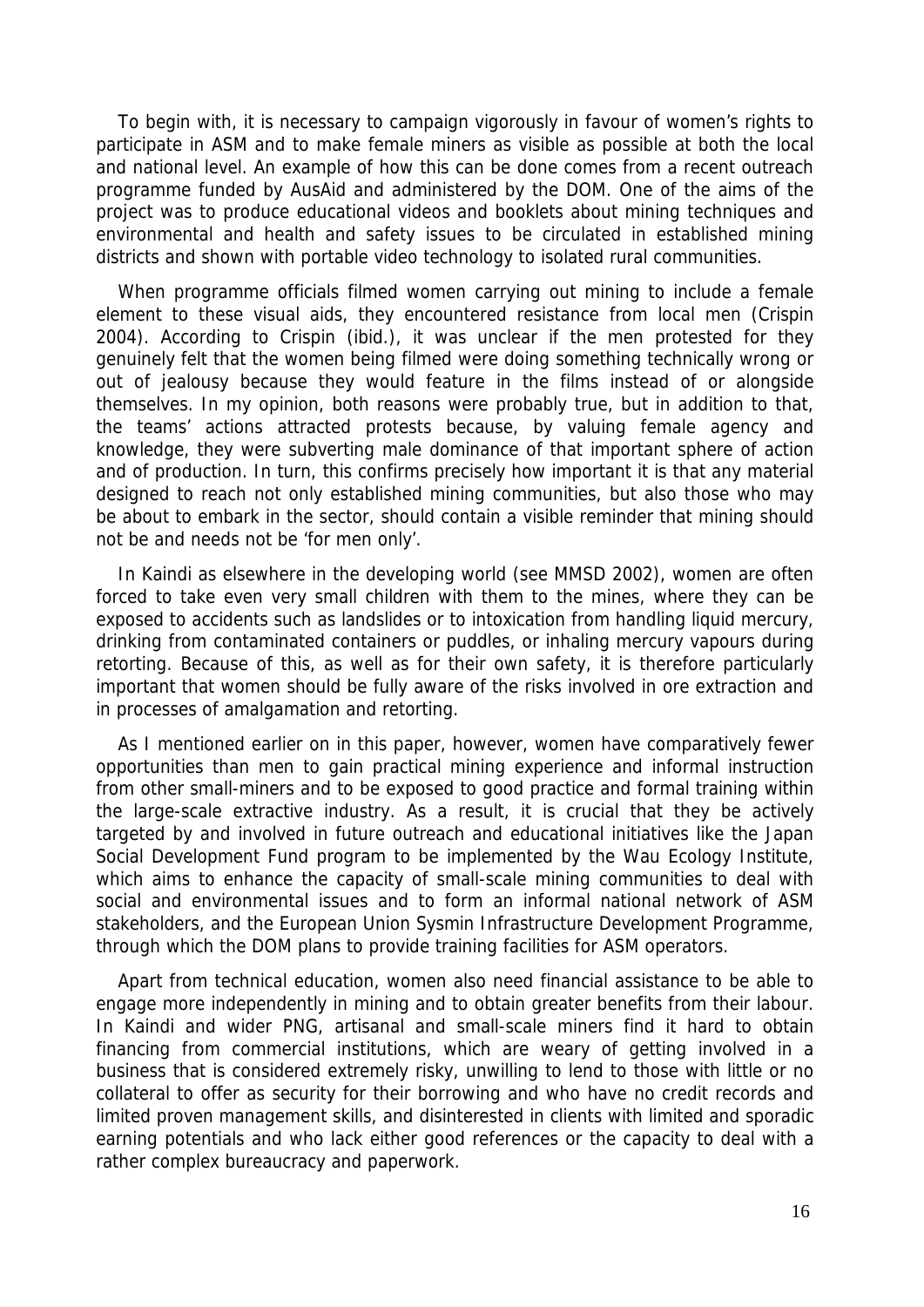To begin with, it is necessary to campaign vigorously in favour of women's rights to participate in ASM and to make female miners as visible as possible at both the local and national level. An example of how this can be done comes from a recent outreach programme funded by AusAid and administered by the DOM. One of the aims of the project was to produce educational videos and booklets about mining techniques and environmental and health and safety issues to be circulated in established mining districts and shown with portable video technology to isolated rural communities.

When programme officials filmed women carrying out mining to include a female element to these visual aids, they encountered resistance from local men (Crispin 2004). According to Crispin (ibid.), it was unclear if the men protested for they genuinely felt that the women being filmed were doing something technically wrong or out of jealousy because they would feature in the films instead of or alongside themselves. In my opinion, both reasons were probably true, but in addition to that, the teams' actions attracted protests because, by valuing female agency and knowledge, they were subverting male dominance of that important sphere of action and of production. In turn, this confirms precisely how important it is that any material designed to reach not only established mining communities, but also those who may be about to embark in the sector, should contain a visible reminder that mining should not be and needs not be 'for men only'.

In Kaindi as elsewhere in the developing world (see MMSD 2002), women are often forced to take even very small children with them to the mines, where they can be exposed to accidents such as landslides or to intoxication from handling liquid mercury, drinking from contaminated containers or puddles, or inhaling mercury vapours during retorting. Because of this, as well as for their own safety, it is therefore particularly important that women should be fully aware of the risks involved in ore extraction and in processes of amalgamation and retorting.

As I mentioned earlier on in this paper, however, women have comparatively fewer opportunities than men to gain practical mining experience and informal instruction from other small-miners and to be exposed to good practice and formal training within the large-scale extractive industry. As a result, it is crucial that they be actively targeted by and involved in future outreach and educational initiatives like the Japan Social Development Fund program to be implemented by the Wau Ecology Institute, which aims to enhance the capacity of small-scale mining communities to deal with social and environmental issues and to form an informal national network of ASM stakeholders, and the European Union Sysmin Infrastructure Development Programme, through which the DOM plans to provide training facilities for ASM operators.

Apart from technical education, women also need financial assistance to be able to engage more independently in mining and to obtain greater benefits from their labour. In Kaindi and wider PNG, artisanal and small-scale miners find it hard to obtain financing from commercial institutions, which are weary of getting involved in a business that is considered extremely risky, unwilling to lend to those with little or no collateral to offer as security for their borrowing and who have no credit records and limited proven management skills, and disinterested in clients with limited and sporadic earning potentials and who lack either good references or the capacity to deal with a rather complex bureaucracy and paperwork.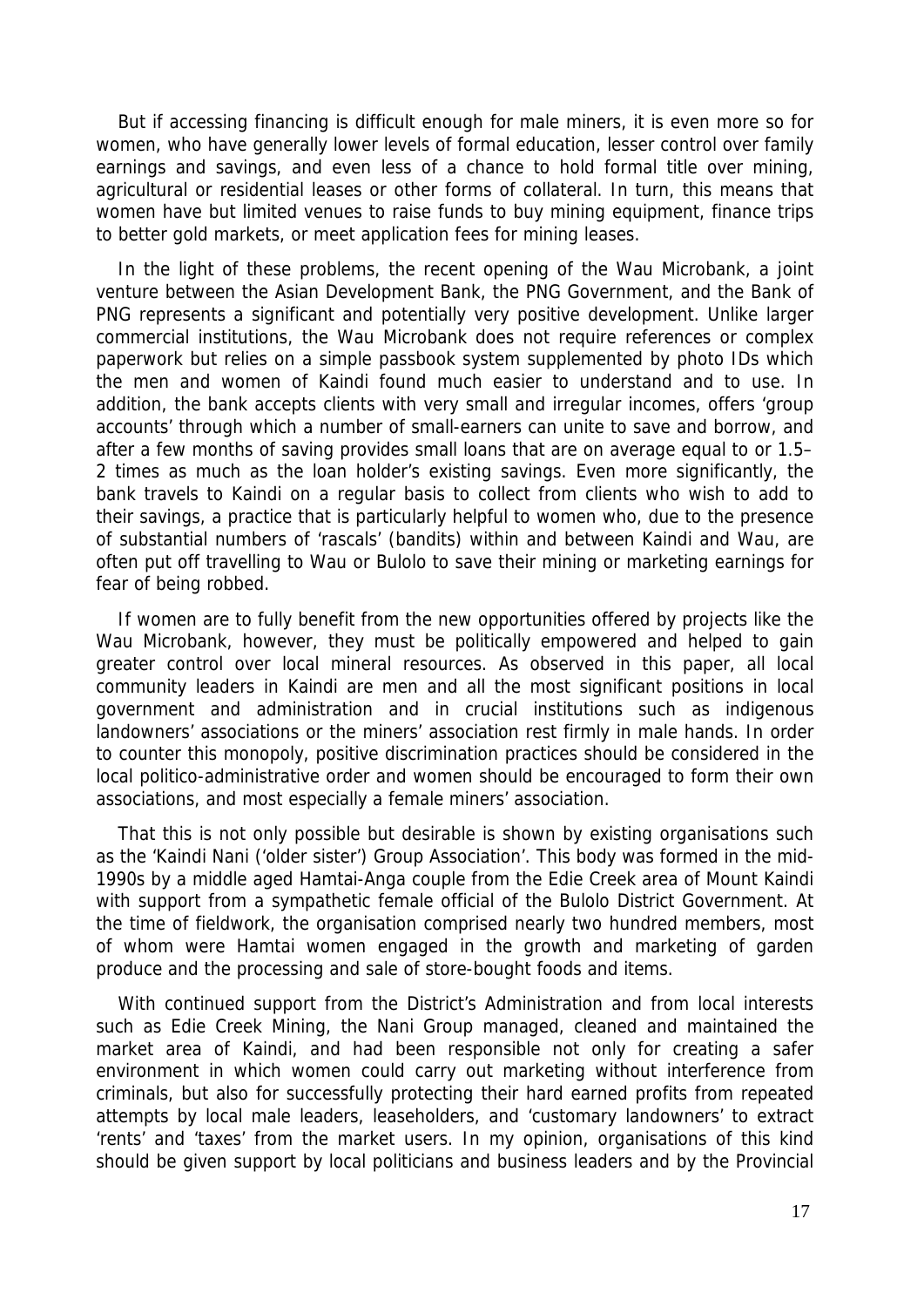But if accessing financing is difficult enough for male miners, it is even more so for women, who have generally lower levels of formal education, lesser control over family earnings and savings, and even less of a chance to hold formal title over mining, agricultural or residential leases or other forms of collateral. In turn, this means that women have but limited venues to raise funds to buy mining equipment, finance trips to better gold markets, or meet application fees for mining leases.

In the light of these problems, the recent opening of the Wau Microbank, a joint venture between the Asian Development Bank, the PNG Government, and the Bank of PNG represents a significant and potentially very positive development. Unlike larger commercial institutions, the Wau Microbank does not require references or complex paperwork but relies on a simple passbook system supplemented by photo IDs which the men and women of Kaindi found much easier to understand and to use. In addition, the bank accepts clients with very small and irregular incomes, offers 'group accounts' through which a number of small-earners can unite to save and borrow, and after a few months of saving provides small loans that are on average equal to or 1.5– 2 times as much as the loan holder's existing savings. Even more significantly, the bank travels to Kaindi on a regular basis to collect from clients who wish to add to their savings, a practice that is particularly helpful to women who, due to the presence of substantial numbers of 'rascals' (bandits) within and between Kaindi and Wau, are often put off travelling to Wau or Bulolo to save their mining or marketing earnings for fear of being robbed.

If women are to fully benefit from the new opportunities offered by projects like the Wau Microbank, however, they must be politically empowered and helped to gain greater control over local mineral resources. As observed in this paper, all local community leaders in Kaindi are men and all the most significant positions in local government and administration and in crucial institutions such as indigenous landowners' associations or the miners' association rest firmly in male hands. In order to counter this monopoly, positive discrimination practices should be considered in the local politico-administrative order and women should be encouraged to form their own associations, and most especially a female miners' association.

That this is not only possible but desirable is shown by existing organisations such as the 'Kaindi Nani ('older sister') Group Association'. This body was formed in the mid-1990s by a middle aged Hamtai-Anga couple from the Edie Creek area of Mount Kaindi with support from a sympathetic female official of the Bulolo District Government. At the time of fieldwork, the organisation comprised nearly two hundred members, most of whom were Hamtai women engaged in the growth and marketing of garden produce and the processing and sale of store-bought foods and items.

With continued support from the District's Administration and from local interests such as Edie Creek Mining, the Nani Group managed, cleaned and maintained the market area of Kaindi, and had been responsible not only for creating a safer environment in which women could carry out marketing without interference from criminals, but also for successfully protecting their hard earned profits from repeated attempts by local male leaders, leaseholders, and 'customary landowners' to extract 'rents' and 'taxes' from the market users. In my opinion, organisations of this kind should be given support by local politicians and business leaders and by the Provincial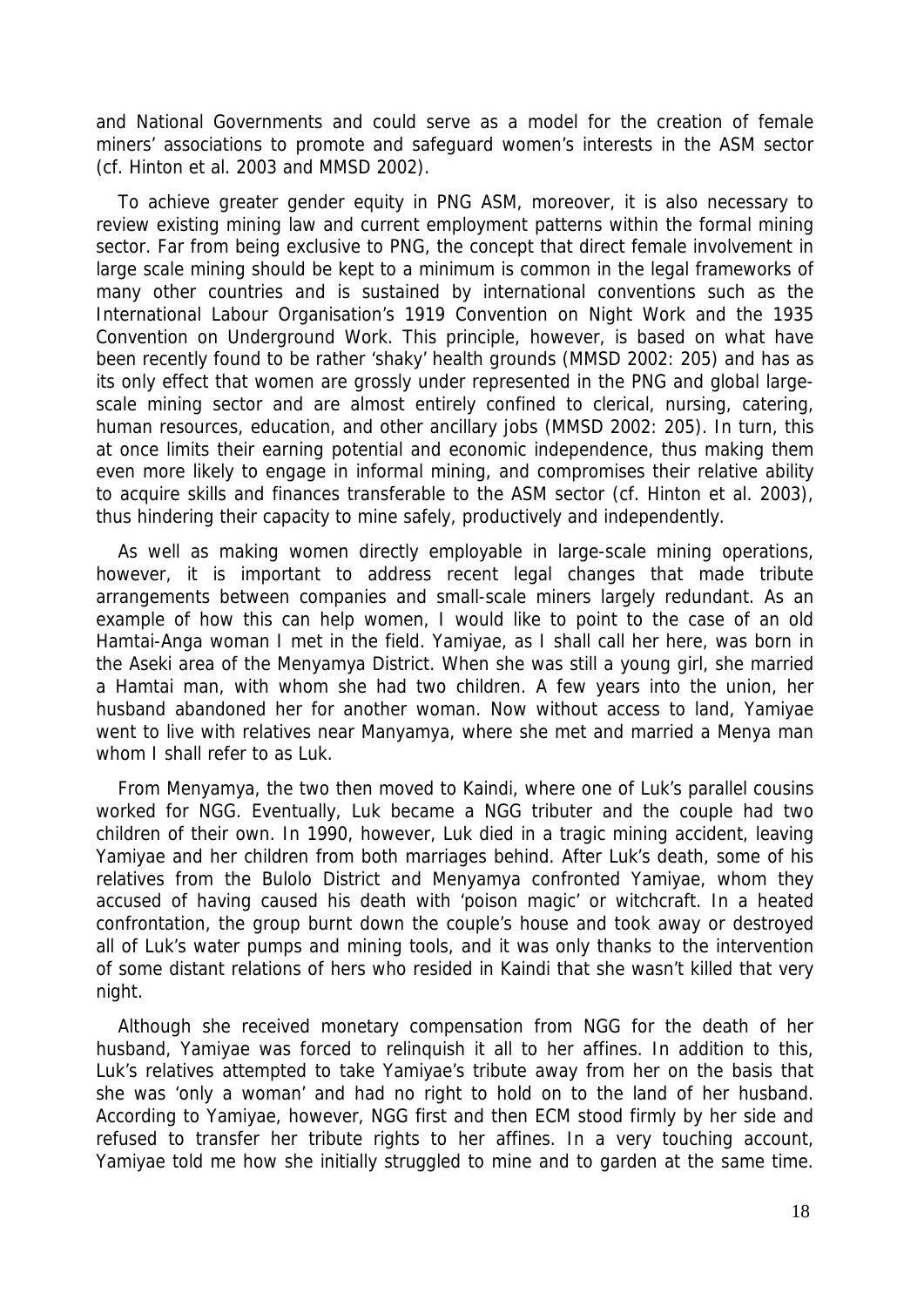and National Governments and could serve as a model for the creation of female miners' associations to promote and safeguard women's interests in the ASM sector (cf. Hinton et al. 2003 and MMSD 2002).

To achieve greater gender equity in PNG ASM, moreover, it is also necessary to review existing mining law and current employment patterns within the formal mining sector. Far from being exclusive to PNG, the concept that direct female involvement in large scale mining should be kept to a minimum is common in the legal frameworks of many other countries and is sustained by international conventions such as the International Labour Organisation's 1919 Convention on Night Work and the 1935 Convention on Underground Work. This principle, however, is based on what have been recently found to be rather 'shaky' health grounds (MMSD 2002: 205) and has as its only effect that women are grossly under represented in the PNG and global largescale mining sector and are almost entirely confined to clerical, nursing, catering, human resources, education, and other ancillary jobs (MMSD 2002: 205). In turn, this at once limits their earning potential and economic independence, thus making them even more likely to engage in informal mining, and compromises their relative ability to acquire skills and finances transferable to the ASM sector (cf. Hinton et al. 2003), thus hindering their capacity to mine safely, productively and independently.

As well as making women directly employable in large-scale mining operations, however, it is important to address recent legal changes that made tribute arrangements between companies and small-scale miners largely redundant. As an example of how this can help women, I would like to point to the case of an old Hamtai-Anga woman I met in the field. Yamiyae, as I shall call her here, was born in the Aseki area of the Menyamya District. When she was still a young girl, she married a Hamtai man, with whom she had two children. A few years into the union, her husband abandoned her for another woman. Now without access to land, Yamiyae went to live with relatives near Manyamya, where she met and married a Menya man whom I shall refer to as Luk.

From Menyamya, the two then moved to Kaindi, where one of Luk's parallel cousins worked for NGG. Eventually, Luk became a NGG tributer and the couple had two children of their own. In 1990, however, Luk died in a tragic mining accident, leaving Yamiyae and her children from both marriages behind. After Luk's death, some of his relatives from the Bulolo District and Menyamya confronted Yamiyae, whom they accused of having caused his death with 'poison magic' or witchcraft. In a heated confrontation, the group burnt down the couple's house and took away or destroyed all of Luk's water pumps and mining tools, and it was only thanks to the intervention of some distant relations of hers who resided in Kaindi that she wasn't killed that very night.

Although she received monetary compensation from NGG for the death of her husband, Yamiyae was forced to relinquish it all to her affines. In addition to this, Luk's relatives attempted to take Yamiyae's tribute away from her on the basis that she was 'only a woman' and had no right to hold on to the land of her husband. According to Yamiyae, however, NGG first and then ECM stood firmly by her side and refused to transfer her tribute rights to her affines. In a very touching account, Yamiyae told me how she initially struggled to mine and to garden at the same time.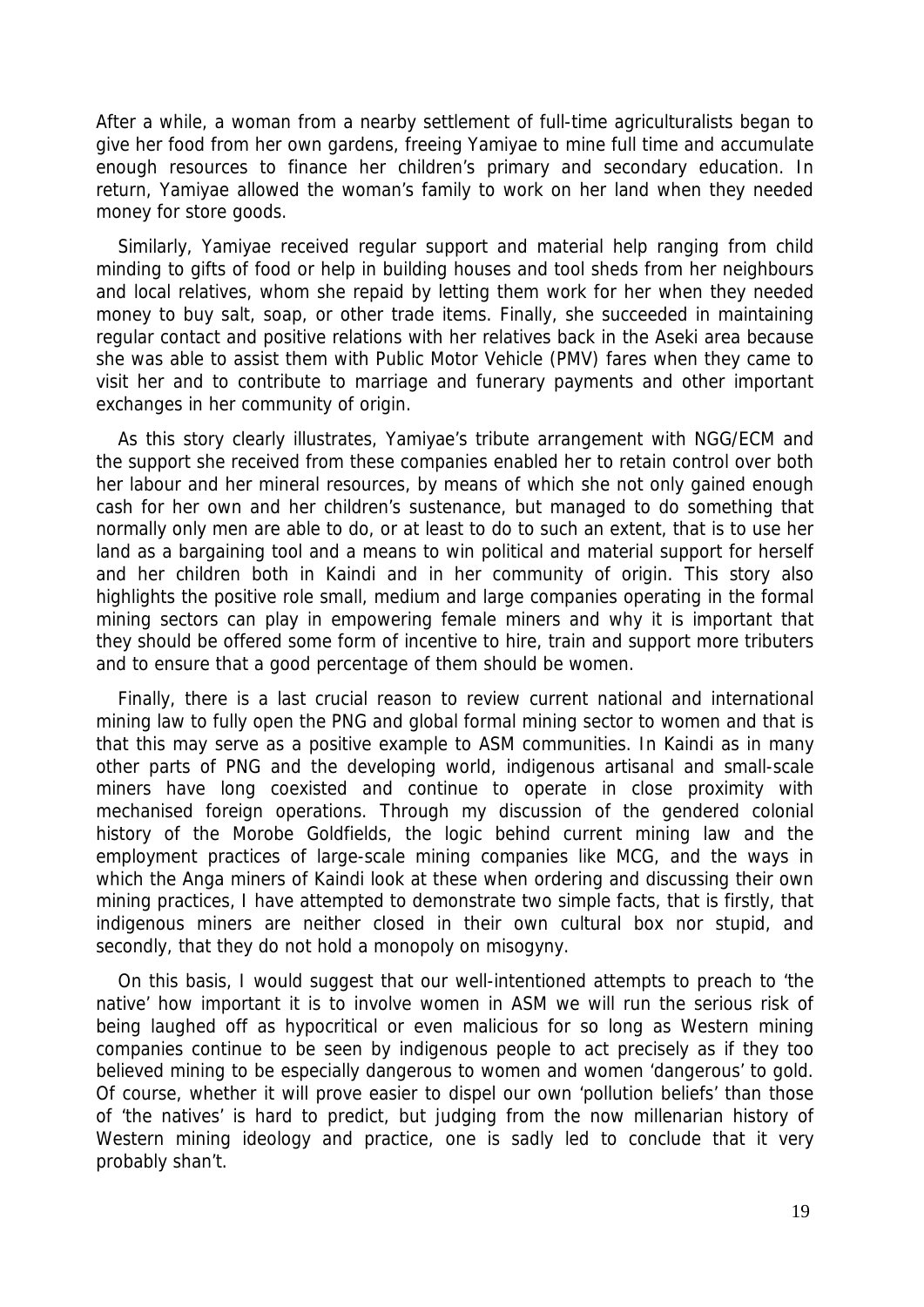After a while, a woman from a nearby settlement of full-time agriculturalists began to give her food from her own gardens, freeing Yamiyae to mine full time and accumulate enough resources to finance her children's primary and secondary education. In return, Yamiyae allowed the woman's family to work on her land when they needed money for store goods.

Similarly, Yamiyae received regular support and material help ranging from child minding to gifts of food or help in building houses and tool sheds from her neighbours and local relatives, whom she repaid by letting them work for her when they needed money to buy salt, soap, or other trade items. Finally, she succeeded in maintaining regular contact and positive relations with her relatives back in the Aseki area because she was able to assist them with Public Motor Vehicle (PMV) fares when they came to visit her and to contribute to marriage and funerary payments and other important exchanges in her community of origin.

As this story clearly illustrates, Yamiyae's tribute arrangement with NGG/ECM and the support she received from these companies enabled her to retain control over both her labour and her mineral resources, by means of which she not only gained enough cash for her own and her children's sustenance, but managed to do something that normally only men are able to do, or at least to do to such an extent, that is to use her land as a bargaining tool and a means to win political and material support for herself and her children both in Kaindi and in her community of origin. This story also highlights the positive role small, medium and large companies operating in the formal mining sectors can play in empowering female miners and why it is important that they should be offered some form of incentive to hire, train and support more tributers and to ensure that a good percentage of them should be women.

Finally, there is a last crucial reason to review current national and international mining law to fully open the PNG and global formal mining sector to women and that is that this may serve as a positive example to ASM communities. In Kaindi as in many other parts of PNG and the developing world, indigenous artisanal and small-scale miners have long coexisted and continue to operate in close proximity with mechanised foreign operations. Through my discussion of the gendered colonial history of the Morobe Goldfields, the logic behind current mining law and the employment practices of large-scale mining companies like MCG, and the ways in which the Anga miners of Kaindi look at these when ordering and discussing their own mining practices, I have attempted to demonstrate two simple facts, that is firstly, that indigenous miners are neither closed in their own cultural box nor stupid, and secondly, that they do not hold a monopoly on misogyny.

On this basis, I would suggest that our well-intentioned attempts to preach to 'the native' how important it is to involve women in ASM we will run the serious risk of being laughed off as hypocritical or even malicious for so long as Western mining companies continue to be seen by indigenous people to act precisely as if they too believed mining to be especially dangerous to women and women 'dangerous' to gold. Of course, whether it will prove easier to dispel our own 'pollution beliefs' than those of 'the natives' is hard to predict, but judging from the now millenarian history of Western mining ideology and practice, one is sadly led to conclude that it very probably shan't.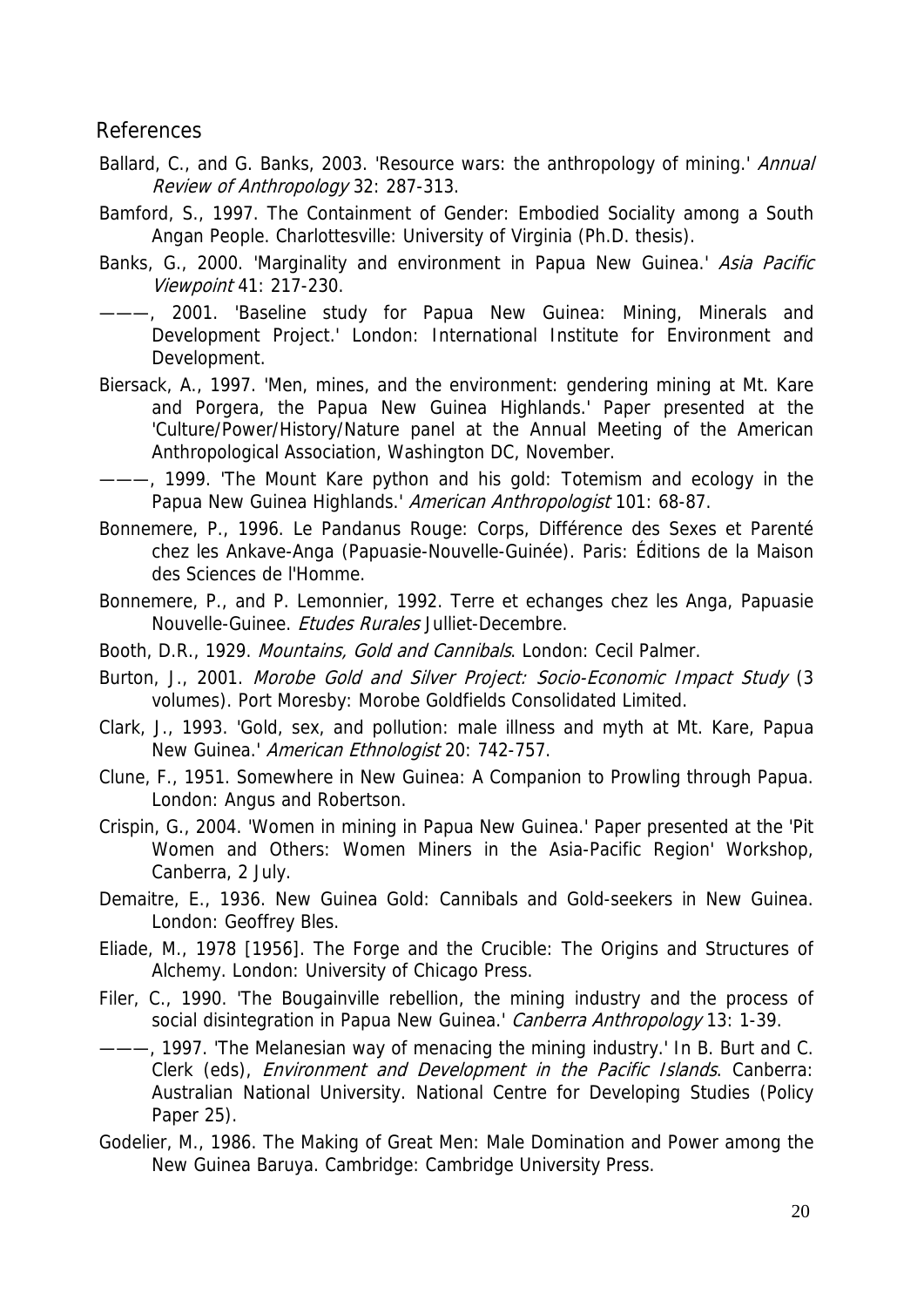#### References

- Ballard, C., and G. Banks, 2003. 'Resource wars: the anthropology of mining.' Annual Review of Anthropology 32: 287-313.
- Bamford, S., 1997. The Containment of Gender: Embodied Sociality among a South Angan People. Charlottesville: University of Virginia (Ph.D. thesis).
- Banks, G., 2000. 'Marginality and environment in Papua New Guinea.' Asia Pacific Viewpoint 41: 217-230.
- ———, 2001. 'Baseline study for Papua New Guinea: Mining, Minerals and Development Project.' London: International Institute for Environment and Development.
- Biersack, A., 1997. 'Men, mines, and the environment: gendering mining at Mt. Kare and Porgera, the Papua New Guinea Highlands.' Paper presented at the 'Culture/Power/History/Nature panel at the Annual Meeting of the American Anthropological Association, Washington DC, November.
- $--$ , 1999. 'The Mount Kare python and his gold: Totemism and ecology in the Papua New Guinea Highlands.' American Anthropologist 101: 68-87.
- Bonnemere, P., 1996. Le Pandanus Rouge: Corps, Différence des Sexes et Parenté chez les Ankave-Anga (Papuasie-Nouvelle-Guinée). Paris: Éditions de la Maison des Sciences de l'Homme.
- Bonnemere, P., and P. Lemonnier, 1992. Terre et echanges chez les Anga, Papuasie Nouvelle-Guinee. Etudes Rurales Julliet-Decembre.
- Booth, D.R., 1929. Mountains, Gold and Cannibals. London: Cecil Palmer.
- Burton, J., 2001. Morobe Gold and Silver Project: Socio-Economic Impact Study (3 volumes). Port Moresby: Morobe Goldfields Consolidated Limited.
- Clark, J., 1993. 'Gold, sex, and pollution: male illness and myth at Mt. Kare, Papua New Guinea.' American Ethnologist 20: 742-757.
- Clune, F., 1951. Somewhere in New Guinea: A Companion to Prowling through Papua. London: Angus and Robertson.
- Crispin, G., 2004. 'Women in mining in Papua New Guinea.' Paper presented at the 'Pit Women and Others: Women Miners in the Asia-Pacific Region' Workshop, Canberra, 2 July.
- Demaitre, E., 1936. New Guinea Gold: Cannibals and Gold-seekers in New Guinea. London: Geoffrey Bles.
- Eliade, M., 1978 [1956]. The Forge and the Crucible: The Origins and Structures of Alchemy. London: University of Chicago Press.
- Filer, C., 1990. 'The Bougainville rebellion, the mining industry and the process of social disintegration in Papua New Guinea.' Canberra Anthropology 13: 1-39.
- ———, 1997. 'The Melanesian way of menacing the mining industry.' In B. Burt and C. Clerk (eds), Environment and Development in the Pacific Islands. Canberra: Australian National University. National Centre for Developing Studies (Policy Paper 25).
- Godelier, M., 1986. The Making of Great Men: Male Domination and Power among the New Guinea Baruya. Cambridge: Cambridge University Press.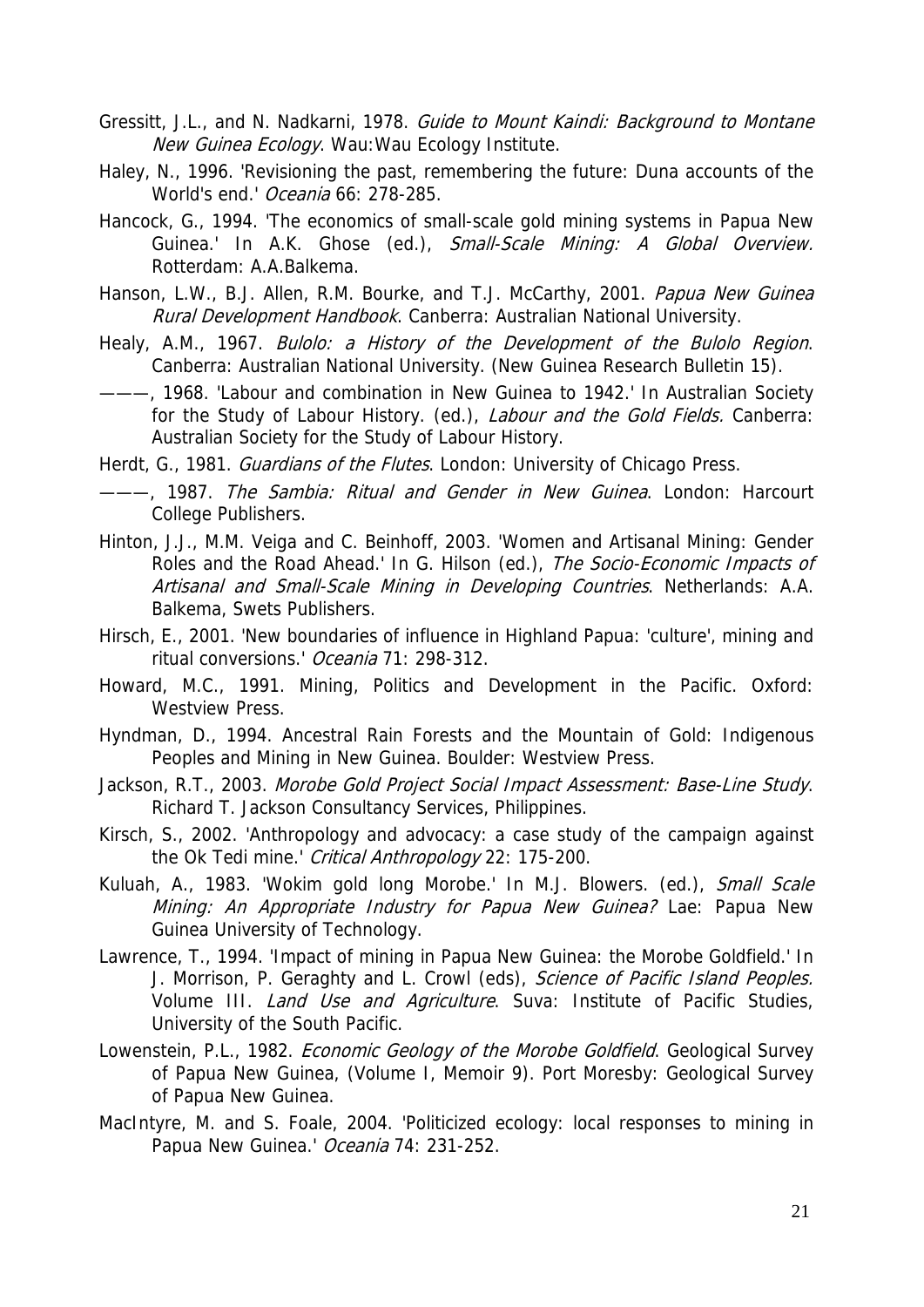- Gressitt, J.L., and N. Nadkarni, 1978. Guide to Mount Kaindi: Background to Montane New Guinea Ecology. Wau: Wau Ecology Institute.
- Haley, N., 1996. 'Revisioning the past, remembering the future: Duna accounts of the World's end.' Oceania 66: 278-285.
- Hancock, G., 1994. 'The economics of small-scale gold mining systems in Papua New Guinea.' In A.K. Ghose (ed.), Small-Scale Mining: A Global Overview. Rotterdam: A.A.Balkema.
- Hanson, L.W., B.J. Allen, R.M. Bourke, and T.J. McCarthy, 2001. Papua New Guinea Rural Development Handbook. Canberra: Australian National University.
- Healy, A.M., 1967. Bulolo: a History of the Development of the Bulolo Region. Canberra: Australian National University. (New Guinea Research Bulletin 15).
- ———, 1968. 'Labour and combination in New Guinea to 1942.' In Australian Society for the Study of Labour History. (ed.), Labour and the Gold Fields. Canberra: Australian Society for the Study of Labour History.
- Herdt, G., 1981. Guardians of the Flutes. London: University of Chicago Press.
- ———, 1987. The Sambia: Ritual and Gender in New Guinea. London: Harcourt College Publishers.
- Hinton, J.J., M.M. Veiga and C. Beinhoff, 2003. 'Women and Artisanal Mining: Gender Roles and the Road Ahead.' In G. Hilson (ed.), The Socio-Economic Impacts of Artisanal and Small-Scale Mining in Developing Countries. Netherlands: A.A. Balkema, Swets Publishers.
- Hirsch, E., 2001. 'New boundaries of influence in Highland Papua: 'culture', mining and ritual conversions.' Oceania 71: 298-312.
- Howard, M.C., 1991. Mining, Politics and Development in the Pacific. Oxford: Westview Press.
- Hyndman, D., 1994. Ancestral Rain Forests and the Mountain of Gold: Indigenous Peoples and Mining in New Guinea. Boulder: Westview Press.
- Jackson, R.T., 2003. Morobe Gold Project Social Impact Assessment: Base-Line Study. Richard T. Jackson Consultancy Services, Philippines.
- Kirsch, S., 2002. 'Anthropology and advocacy: a case study of the campaign against the Ok Tedi mine.' Critical Anthropology 22: 175-200.
- Kuluah, A., 1983. 'Wokim gold long Morobe.' In M.J. Blowers. (ed.), Small Scale Mining: An Appropriate Industry for Papua New Guinea? Lae: Papua New Guinea University of Technology.
- Lawrence, T., 1994. 'Impact of mining in Papua New Guinea: the Morobe Goldfield.' In J. Morrison, P. Geraghty and L. Crowl (eds), Science of Pacific Island Peoples. Volume III. Land Use and Agriculture. Suva: Institute of Pacific Studies, University of the South Pacific.
- Lowenstein, P.L., 1982. Economic Geology of the Morobe Goldfield. Geological Survey of Papua New Guinea, (Volume I, Memoir 9). Port Moresby: Geological Survey of Papua New Guinea.
- MacIntyre, M. and S. Foale, 2004. 'Politicized ecology: local responses to mining in Papua New Guinea.' Oceania 74: 231-252.